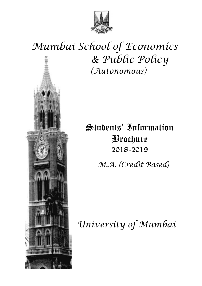

# *Mumbai School of Economics & Public Policy (Autonomous)*

# Students' Information Brochure 2018-2019

 *M.A. (Credit Based)*

*University of Mumbai*

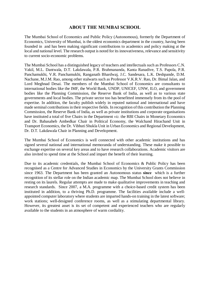# **ABOUT THE MUMBAI SCHOOL**

The Mumbai School of Economics and Public Policy (Autonomous), formerly the Department of Economics, University of Mumbai, is the oldest economics department in the country, having been founded in and has been making significant contributions to academics and policy making at the local and national level. The research output is noted for its innovativeness, relevance and sensitivity to current socio-economic problems.

The Mumbai School has a distinguished legacy of teachers and intellectuals such as Professors C.N. Vakil, M.L. Dantwala, D.T. Lakdawala, P.R. Brahmananda, Kanta Ranadive, T.S. Papola, P.R. Panchamukhi, V.R. Panchamukhi, Ranganath Bhardwaj, J.C. Sandesara, L.K. Deshpande, D.M. Nachane, M.J.M. Rao, among other stalwarts such as Professor V.K.R.V. Rao, Dr. Bimal Jalan, and Lord Meghnad Desai. The members of the Mumbai School of Economics are consultants to international bodies like the IMF, the World Bank, UNDP, UNICEF, UNW, ILO, and government bodies like the Planning Commission, the Reserve Bank of India, as well as to various state governments and local bodies. The private sector too has benefitted immensely from its the pool of expertise. In addition, the faculty publish widely in reputed national and international and have made seminal contributions in their respective fields. In recognition of this contribution the Planning Commission, the Reserve Bank of India, as well as private institutions and corporate organisations have instituted a total of five Chairs in the Department *viz.* the RBI Chairs in Monetary Economics and Dr. Babasaheb Ambedkar Chair in Political Economy, the Walchand Hirachand Unit in Transport Economics, the Dr. Vibhuti Shukla Unit in Urban Economics and Regional Development, Dr. D.T. Lakdawala Chair in Planning and Development.

The Mumbai School of Economics is well connected with other academic institutions and has signed several national and international memoranda of understanding. These make it possible to exchange expertise on several key areas and to have research collaborations. Academic visitors are also invited to spend time at the School and impart the benefit of their learning.

Due to its academic credentials, the Mumbai School of Economics & Public Policy has been recognised as a Centre for Advanced Studies in Economics by the University Grants Commission since 1963. The Department has been granted an Autonomous status **since** which is a further recognition of its stellar role on the Indian academic map. The Mumbai School does not believe in resting on its laurels. Regular attempts are made to make qualitative improvements in teaching and research standards. Since 2007, a M.A. programme with a choice-based credit system has been instituted in addition, to a thriving Ph.D. programme. The facilities available include a wellappointed computer laboratory where students are imparted hands-on training in the latest software; work stations; well-designed conference rooms, as well as a stimulating departmental library. However, its greatest asset is its set of competent and experienced teachers who are regularly available to the students in an atmosphere of warm cordiality.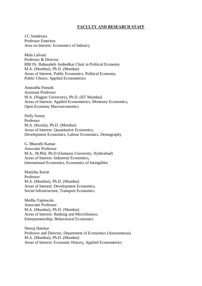## **FACULTY AND RESEARCH STAFF**

J.C.Sandesara Professor Emeritus Area on Interest: Economics of Industry

Mala Lalvani Professor & Director RBI Dr. Babasaheb Ambedkar Chair in Political Economy M.A. (Mumbai), Ph.D. (Mumbai) Areas of Interest: Public Economics, Political Economy, Public Choice, Applied Econometrics

Anuradha Patnaik Assistant Professor M.A. (Nagpur University), Ph.D. (IIT Mumbai) Areas of Interest: Applied Econometrics, Monetary Economics, Open Economy Macroeconomics

Dolly Sunny Professor M.A. (Kerala), Ph.D. (Mumbai) Areas of Interest: Quantitative Economics, Development Economics, Labour Economics, Demography

G. Bharathi Kamat Associate Professor M.A., M.Phil, Ph.D (Osmania University, Hyderabad) Areas of Interest: Industrial Economics, International Economics, Economics of Intangibles

Manisha Karne Professor M.A. (Mumbai), Ph.D. (Mumbai) Areas of Interest: Development Economics, Social Infrastructure, Transport Economics

Medha Tapiawala Associate Professor M.A. (Mumbai), Ph.D. (Mumbai) Areas of Interest: Banking and Microfinance, Entrepreneurship, Behavioural Economics

Neeraj Hatekar Professor and Director, Department of Economics (Autonomous) M.A. (Mumbai), Ph.D. (Mumbai) Areas of Interest: Economic History, Applied Econometrics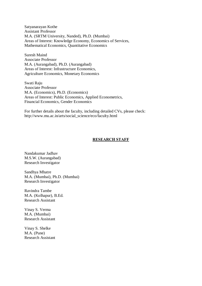Satyanarayan Kothe Assistant Professor M.A. (SRTM University, Nanded), Ph.D. (Mumbai) Areas of Interest: Knowledge Economy, Economics of Services, Mathematical Economics, Quantitative Economics

Suresh Maind Associate Professor M.A. (Aurangabad), Ph.D. (Aurangabad) Areas of Interest: Infrastructure Economics, Agriculture Economics, Monetary Economics

Swati Raju Associate Professor M.A. (Economics), Ph.D. (Economics) Areas of Interest: Public Economics, Applied Econometrics, Financial Economics, Gender Economics

For further details about the faculty, including detailed CVs, please check: http://www.mu.ac.in/arts/social\_science/eco/faculty.html

#### **RESEARCH STAFF**

Nandakumar Jadhav M.S.W. (Aurangabad) Research Investigator

Sandhya Mhatre M.A. (Mumbai), Ph.D. (Mumbai) Research Investigator

Ravindra Tambe M.A. (Kolhapur), B.Ed. Research Assistant

Vinay S. Verma M.A. (Mumbai) Research Assistant

Vinay S. Shelke M.A. (Pune) Research Assistant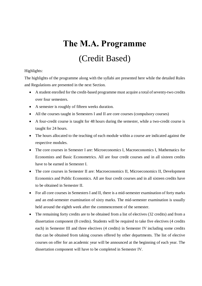# **The M.A. Programme** (Credit Based)

# Highlights:

The highlights of the programme along with the syllabi are presented here while the detailed Rules and Regulations are presented in the next Section.

- · A student enrolled for the credit-based programme must acquire a total of seventy-two credits over four semesters.
- A semester is roughly of fifteen weeks duration.
- All the courses taught in Semesters I and II are core courses (compulsory courses)
- · A four-credit course is taught for 48 hours during the semester, while a two-credit course is taught for 24 hours.
- The hours allocated to the teaching of each module within a course are indicated against the respective modules.
- The core courses in Semester I are: Microeconomics I, Macroeconomics I, Mathematics for Economists and Basic Econometrics. All are four credit courses and in all sixteen credits have to be earned in Semester I.
- · The core courses in Semester II are: Macroeconomics II, Microeconomics II, Development Economics and Public Economics. All are four credit courses and in all sixteen credits have to be obtained in Semester II.
- For all core courses in Semesters I and II, there is a mid-semester examination of forty marks and an end-semester examination of sixty marks. The mid-semester examination is usually held around the eighth week after the commencement of the semester.
- The remaining forty credits are to be obtained from a list of electives (32 credits) and from a dissertation component (8 credits). Students will be required to take five electives (4 credits each) in Semester III and three electives (4 credits) in Semester IV including some credits that can be obtained from taking courses offered by other departments. The list of elective courses on offer for an academic year will be announced at the beginning of each year. The dissertation component will have to be completed in Semester IV.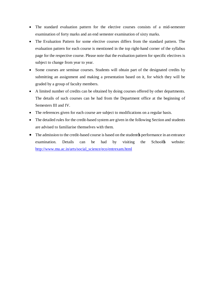- The standard evaluation pattern for the elective courses consists of a mid-semester examination of forty marks and an end semester examination of sixty marks.
- The Evaluation Pattern for some elective courses differs from the standard pattern. The evaluation pattern for each course is mentioned in the top right-hand corner of the syllabus page for the respective course. Please note that the evaluation pattern for specific electives is subject to change from year to year.
- Some courses are seminar courses. Students will obtain part of the designated credits by submitting an assignment and making a presentation based on it, for which they will be graded by a group of faculty members.
- · A limited number of credits can be obtained by doing courses offered by other departments. The details of such courses can be had from the Department office at the beginning of Semesters III and IV.
- The references given for each course are subject to modifications on a regular basis.
- The detailed rules for the credit-based system are given in the following Section and students are advised to familiarise themselves with them.
- The admission to the credit-based course is based on the student performance in an entrance examination. Details can be had by visiting the School<sup>os</sup> website: [http://www.mu.ac.in/arts/social\\_science/eco/entrexam.html](http://www.mu.ac.in/arts/social_science/eco/entrexam.html)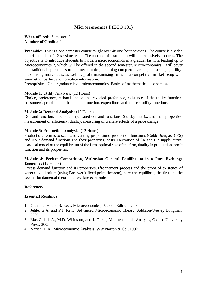# **Microeconomics I** (ECO 101)

# **When offered**: Semester: I **Number of Credits**: 4

**Preamble**: This is a one-semester course taught over 48 one-hour sessions. The course is divided into 4 modules of 12 sessions each. The method of instruction will be exclusively lectures. The objective is to introduce students to modern microeconomics in a gradual fashion, leading up to Microeconomics 2, which will be offered in the second semester. Microeconomics 1 will cover the traditional approaches to microeconomics, assuming complete markets, nonstrategic, utilitymaximising individuals, as well as profit-maximising firms in a competitive market setup with symmetric, perfect and complete information.

Prerequisites: Undergraduate level microeconomics, Basics of mathematical economics.

### **Module 1: Utility Analysis:** (12 Hours)

Choice, preference, rational choice and revealed preference, existence of the utility functionconsumer to problem and the demand function, expenditure and indirect utility functions

### **Module 2: Demand Analysis:** (12 Hours)

Demand function, income-compensated demand functions, Slutsky matrix, and their properties, measurement of efficiency, duality, measuring of welfare effects of a price change

### **Module 3: Production Analysis:** (12 Hours)

Production: returns to scale and varying proportions, production functions (Cobb Douglas, CES) and input demand functions and their properties, costs, Derivation of SR and LR supply curve, classical model of the equilibrium of the firm, optimal size of the firm, duality in production, profit function and its properties,

### **Module 4: Perfect Competition, Walrasian General Equilibrium in a Pure Exchange Economy:** (12 Hours)

Excess demand function and its properties, tâtonnement process and the proof of existence of general equilibrium (using Brouwer is fixed point theorem), core and equilibria, the first and the second fundamental theorem of welfare economics.

### **References:**

- 1. Gravelle, H. and R. Rees, Microeconomics, Pearson Edition, 2004
- 2. Jehle, G.A. and P.J. Reny, Advanced Microeconomic Theory, Addison-Wesley Longman, 2000
- 3. Mas-Colell, A., M.D. Whinston, and J. Green, Microeconomic Analysis, Oxford University Press, 2005
- 4. Varian, H.R., Microeconomic Analysis, WW Norton & Co., 1992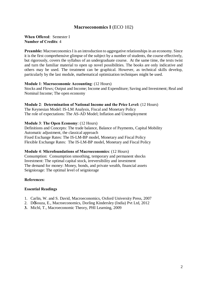# **Macroeconomics I** (ECO 102)

#### **When Offered**: Semester I **Number of Credits**: 4

**Preamble:** Macroeconomics I is an introduction to aggregative relationships in an economy. Since it is the first comprehensive glimpse of the subject by a number of students, the course effectively, but rigorously, covers the syllabus of an undergraduate course. At the same time, the texts twist and turn the familiar material to open up novel possibilities. The books are only indicative and others may be used. The treatment can be graphical. However, as technical skills develop, particularly by the last module, mathematical optimization techniques might be used.

### **Module 1**: **Macroeconomic Accounting**: (12 Hours)

Stocks and Flows; Output and Income; Income and Expenditure; Saving and Investment; Real and Nominal Income; The open economy

#### **Module 2**: **Determination of National Income and the Price Level:** (12 Hours)

The Keynesian Model: IS-LM Analysis, Fiscal and Monetary Policy The role of expectations: The AS-AD Model; Inflation and Unemployment

### **Module 3**: **The Open Economy**: (12 Hours)

Definitions and Concepts: The trade balance, Balance of Payments, Capital Mobility Automatic adjustment, the classical approach Fixed Exchange Rates: The IS-LM-BP model, Monetary and Fiscal Policy Flexible Exchange Rates: The IS-LM-BP model, Monetary and Fiscal Policy

#### **Module 4**: **Microfoundations of Macroeconomics**: (12 Hours)

Consumption: Consumption smoothing, temporary and permanent shocks Investment: The optimal capital stock, irreversibility and investment The demand for money: Money, bonds, and private wealth, financial assets Seigniorage: The optimal level of seigniorage

### **References:**

- 1. Carlin, W. and S. David, Macroeconomics, Oxford University Press, 2007
- 2. DeSouza, E., Macroeconomics, Dorling Kindersley (India) Pvt Ltd, 2012
- **3.** Michl, T., Macroeconomic Theory, PHI Learning, 2009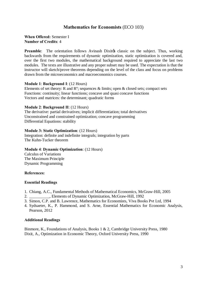# **Mathematics for Economists** (ECO 103)

# **When Offered:** Semester I **Number of Credits**: 4

**Preamble:** The orientation follows Avinash Dixites classic on the subject. Thus, working backwards from the requirements of dynamic optimization, static optimization is covered and, over the first two modules, the mathematical background required to appreciate the last two modules. The texts are illustrative and any proper subset may be used. The expectation is that the instructor will sketch/prove theorems depending on the level of the class and focus on problems drawn from the microeconomics and macroeconomics courses.

# **Module 1**: **Background I**: (12 Hours)

Elements of set theory: R and  $\mathbb{R}^n$ ; sequences & limits; open & closed sets; compact sets Functions: continuity; linear functions; concave and quasi concave functions Vectors and matrices: the determinant; quadratic forms

### **Module 2**: **Background II**: (12 Hours)

The derivative: partial derivatives; implicit differentiation; total derivatives Unconstrained and constrained optimization; concave programming Differential Equations: stability

# **Module 3: Static Optimization**: (12 Hours)

Integration: definite and indefinite integrals; integration by parts The Kuhn-Tucker theorem

# **Module 4**: **Dynamic Optimization**: (12 Hours)

Calculus of Variations The Maximum Principle Dynamic Programming

### **References:**

### **Essential Readings**

- 1. Chiang, A.C., Fundamental Methods of Mathematical Economics, McGraw-Hill, 2005
- 2. \_\_\_\_\_\_\_\_\_\_, Elements of Dynamic Optimization, McGraw-Hill, 1992
- 3. Simon, C.P. and B. Lawrence, Mathematics for Economists, Viva Books Pvt Ltd, 1994
- 4. Sydsaeter, K., P. Hammond, and S. Arne, Essential Mathematics for Economic Analysis, Pearson, 2012

# **Additional Readings**

Binmore, K., Foundations of Analysis, Books 1 & 2, Cambridge University Press, 1980 Dixit, A., Optimization in Economic Theory, Oxford University Press, 1990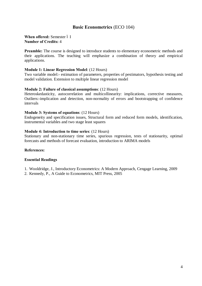# **Basic Econometrics** (ECO 104)

### **When offered:** Semester 6 I **Number of Credits:** 4

**Preamble:** The course is designed to introduce students to elementary econometric methods and their applications. The teaching will emphasize a combination of theory and empirical applications.

## **Module 1: Linear Regression Model**: (12 Hours)

Two variable model:- estimation of parameters, properties of pestimators, hypothesis testing and model validation. Extension to multiple linear regression model

# **Module 2: Failure of classical assumptions**: (12 Hours)

Heteroskedasticity, autocorrelation and multicollinearity: implications, corrective measures, Outliers:-implication and detection, non-normality of errors and bootstrapping of confidence intervals

### **Module 3: Systems of equations**: (12 Hours)

Endogeneity and specification issues, Structural form and reduced form models, identification, instrumental variables and two stage least squares

### **Module 4: Introduction to time series**: (12 Hours)

Stationary and non-stationary time series, spurious regression, tests of stationarity, optimal forecasts and methods of forecast evaluation, introduction to ARIMA models

# **References:**

- 1. Wooldridge, J., Introductory Econometrics: A Modern Approach, Cengage Learning, 2009
- 2. Kennedy, P., A Guide to Econometrics, MIT Press, 2005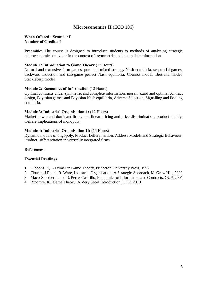# **Microeconomics II** (ECO 106)

### **When Offered:** Semester II **Number of Credits**: 4

**Preamble:** The course is designed to introduce students to methods of analysing strategic microeconomic behaviour in the context of asymmetric and incomplete information.

# **Module 1: Introduction to Game Theory** (12 Hours)

Normal and extensive form games, pure and mixed strategy Nash equilibria, sequential games, backward induction and sub-game perfect Nash equilibria, Cournot model, Bertrand model, Stackleberg model.

### **Module 2: Economics of Information** (12 Hours)

Optimal contracts under symmetric and complete information, moral hazard and optimal contract design, Bayesian games and Bayesian Nash equilibria, Adverse Selection, Signalling and Pooling equilibria.

### **Module 3: Industrial Organisation-1:** (12 Hours)

Market power and dominant firms, non-linear pricing and price discrimination, product quality, welfare implications of monopoly.

### **Module 4: Industrial Organisation-II:** (12 Hours)

Dynamic models of oligopoly, Product Differentiation, Address Models and Strategic Behaviour, Product Differentiation in vertically integrated firms.

### **References:**

- 1. Gibbons R., A Primer in Game Theory, Princeton University Press, 1992
- 2. Church, J.R. and R. Ware, Industrial Organisation: A Strategic Approach, McGraw Hill, 2000
- 3. Maco-Staedler, I. and D. Perez-Castrillo, Economics of Information and Contracts, OUP, 2001
- 4. Binomre, K., Game Theory: A Very Short Introduction, OUP, 2010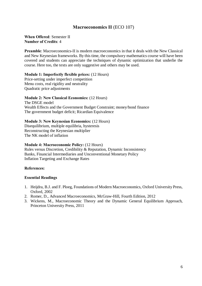# **Macroeconomics II** (ECO 107)

## **When Offered**: Semester II **Number of Credits**: 4

**Preamble:** Macroeconomics-II is modern macroeconomics in that it deals with the New Classical and New Keynesian frameworks. By this time, the compulsory mathematics course will have been covered and students can appreciate the techniques of dynamic optimization that underlie the course. Here too, the texts are only suggestive and others may be used.

### **Module 1: Imperfectly flexible prices:** (12 Hours)

Price-setting under imperfect competition Menu costs, real rigidity and neutrality Quadratic price adjustments

### **Module 2: New Classical Economics:** (12 Hours)

The DSGE model Wealth Effects and the Government Budget Constraint; money/bond finance The government budget deficit; Ricardian Equivalence

### **Module 3: New Keynesian Economics:** (12 Hours)

Disequilibrium, multiple equilibria, hysteresis Reconstructing the Keynesian multiplier The NK model of inflation

#### **Module 4: Macroeconomic Policy:** (12 Hours)

Rules versus Discretion, Credibility & Reputation, Dynamic Inconsistency Banks, Financial Intermediaries and Unconventional Monetary Policy Inflation Targeting and Exchange Rates

### **References:**

- 1. Heijdra, B.J. and F. Ploeg, Foundations of Modern Macroeconomics, Oxford University Press, Oxford, 2002
- 2. Romer, D., Advanced Macroeconomics, McGraw-Hill, Fourth Edition, 2012
- 3. Wickens, M., Macroeconomic Theory and the Dynamic General Equilibrium Approach, Princeton University Press, 2011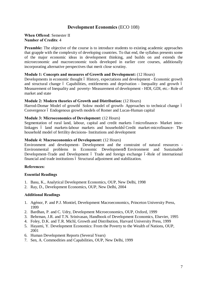# **Development Economics** (ECO 108)

# **When Offered**: Semester II **Number of Credits**: 4

**Preamble:** The objective of the course is to introduce students to existing academic approaches that grapple with the complexity of developing countries. To that end, the syllabus presents some of the major economic ideas in development thinking, and builds on and extends the microeconomic and macroeconomic tools developed in earlier core courses, additionally incorporating alternative perspectives that merit close scrutiny.

# **Module 1: Concepts and measures of Growth and Development:** (12 Hours)

Developments in economic thought 6 History, expectations and development - Economic growth and structural change 6 Capabilities, entitlements and deprivation - Inequality and growth 6 Measurement of Inequality and poverty- Measurement of development - HDI, GDI, etc.- Role of market and state

### **Module 2: Modern theories of Growth and Distribution:** (12 Hours)

Harrod-Domar Model of growthó Solow model of growth-Approaches to technical change 6 Convergence 6 Endogenous growth models of Romer and Lucas-Human capital

### **Module 3: Microeconomics of Development:** (12 Hours)

Segmentation of rural land, labour, capital and credit markets ómicrofinance- Market interlinkages ó land markets-labour markets and householdsóCredit market-microfinance- The household model of fertility decisions- Institutions and development

### **Module 4: Macroeconomics of Development:** (12 Hours)

Environment and development- Development and the constraint of natural resources - Environmental problems in Economic Developmentô Environment and Sustainable Development-Trade and Development 6 Trade and foreign exchange 6-Role of international financial and trade institutions 6 Structural adjustment and stabilization.

### **References:**

### **Essential Readings**

- 1. Basu, K., Analytical Development Economics, OUP, New Delhi, 1998
- 2. Ray, D., Development Economics, OUP, New Delhi, 2004

### **Additional Readings**

- 1. Agénor, P. and P.J. Montiel, Development Macroeconomics, Princeton University Press, 1999
- 2. Bardhan, P. and C. Udry, Development Microeconomics, OUP, Oxford, 1999
- 3. Behrman, J.R. and T.N. Srinivasan, Handbook of Development Economics, Elsevier, 1995
- 4. Foley, D.K. and T.R. Michl, Growth and Distribution, Harvard University Press, 1999
- 5. Hayami, Y. Development Economics: From the Poverty to the Wealth of Nations, OUP, 2001
- 6. Human Development Reports (Several Years)
- 7. Sen, A. Commodities and Capabilities, OUP, New Delhi, 1999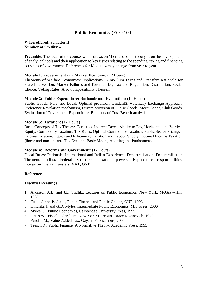# **Public Economics** (ECO 109)

#### **When offered**: Semester II **Number of Credits**: 4

**Preamble:** The focus of the course, which draws on Microeconomic theory, is on the development of analytical tools and their application to key issues relating to the spending, taxing and financing activities of government. References for Module 4 may change from year to year.

# **Module 1: Government in a Market Economy:** (12 Hours)

Theorems of Welfare Economics: Implications, Lump Sum Taxes and Transfers Rationale for State Intervention: Market Failures and Externalities, Tax and Regulation, Distribution, Social Choice, Voting Rules, Arrow Impossibility Theorem

### **Module 2: Public Expenditure: Rationale and Evaluation:** (12 Hours)

Public Goods: Pure and Local, Optimal provision, Lindahløs Voluntary Exchange Approach, Preference Revelation mechanism, Private provision of Public Goods, Merit Goods, Club Goods Evaluation of Government Expenditure: Elements of Cost-Benefit analysis

# **Module 3: Taxation:** (12 Hours)

Basic Concepts of Tax Theory: Direct vs. Indirect Taxes, Ability to Pay, Horizontal and Vertical Equity. Commodity Taxation: Tax Rules, Optimal Commodity Taxation, Public Sector Pricing. Income Taxation: Equity and Efficiency, Taxation and Labour Supply, Optimal Income Taxation (linear and non-linear). Tax Evasion: Basic Model, Auditing and Punishment.

### **Module 4: Reforms and Government:** (12 Hours)

Fiscal Rules: Rationale, International and Indian Experience. Decentralisation: Decentralisation Theorem. Indiags Federal Structure: Taxation powers, Expenditure responsibilities, Intergovernmental transfers, VAT, GST

# **References:**

- 1. Atkinson A.B. and J.E. Stiglitz, Lectures on Public Economics, New York: McGraw-Hill, 1980
- 2. Cullis J. and P. Jones, Public Finance and Public Choice, OUP, 1998
- 3. Hindriks J. and G.D. Myles, Intermediate Public Economics, MIT Press, 2006
- 4. Myles G., Public Economics, Cambridge University Press, 1995
- 5. Oates W., Fiscal Federalism, New York: Harcourt, Brace Jovanovich, 1972
- 6. Purohit M., Value Added Tax, Gayatri Publications, 2001
- 7. Tresch R., Public Finance: A Normative Theory, Academic Press, 1995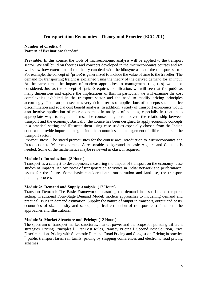# **Transportation Economics - Theory and Practice** (ECO 201)

# **Number of Credits**: 4 **Pattern of Evaluation**: Standard

**Preamble:** In this course, the tools of microeconomic analysis will be applied to the transport sector. We will build on theories and concepts developed in the microeconomics courses and we will show how extensions of the theory can deal with the idiosyncrasies of the transport sector. For example, the concept of  $\tilde{\text{op}}$  rice is generalized to include the value of time to the traveller. The demand for transporting freight is explained using the theory of the derived demand for an input. At the same time, the impact of modern approaches to management (logistics) would be considered. Just as the concept of  $\tilde{p}$  oprice requires modification, we will see that  $\tilde{p}$  coutput  $\tilde{p}$  has many dimensions and explore the implications of this. In particular, we will examine the cost complexities exhibited in the transport sector and the need to modify pricing principles accordingly. The transport sector is very rich in terms of applications of concepts such as price discrimination and social cost benefit analysis. In addition, a study of transport economics would also involve application of microeconomics in analysis of policies, especially in relation to appropriate ways to regulate firms. The course, in general, covers the relationship between transport and the economy. Basically, the course has been designed to apply economic concepts in a practical setting and illustrate them using case studies especially chosen from the Indian context to provide important insights into the economics and management of different parts of the transport sector.

Pre-requisites**:** The stated prerequisites for the course are: Introduction to Microeconomics and Introduction to Macroeconomics. A reasonable background in basic Algebra and Calculus is needed. Some of the mathematics maybe reviewed in class, if required.

# **Module 1: Introduction: (8 Hours)**

Transport as a catalyst to development; measuring the impact of transport on the economy- case studies of impacts. An overview of transportation activities in India: network and performance; issues for the future. Some basic considerations: transportation and land-use, the transport planning process

# **Module 2: Demand and Supply Analysis:** (12 Hours)

Transport Demand: The Basic Framework- measuring the demand in a spatial and temporal setting. Traditional Four-Stage Demand Model; modern approaches to modelling demand and practical issues in demand estimation. Supply: the nature of output in transport, output and costs, economies of size, density and scope, empirical estimation of transport cost functions- the approaches and illustrations.

### **Module 3: Market Structure and Pricing:** (12 Hours)

The spectrum of transport market structures: market power and the scope for pursuing different strategies. Pricing Principles 6 First Best Rules, Ramsey Pricing 6 Second Best Solution, Price Discrimination, Pricing with Stochastic Demand, Road Pricing and Congestion. Pricing in practice – public transport fares, rail tariffs, pricing by shipping conferences and electronic road pricing schemes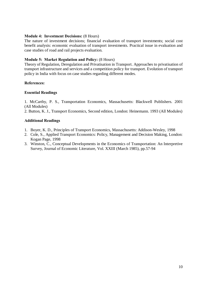# **Module 4: Investment Decisions:** (8 Hours)

The nature of investment decisions; financial evaluation of transport investments; social cost benefit analysis: economic evaluation of transport investments. Practical issue in evaluation and case studies of road and rail projects evaluation.

# **Module 5: Market Regulation and Policy:** (8 Hours)

Theory of Regulation, Deregulation and Privatisation in Transport. Approaches to privatisation of transport infrastructure and services and a competition policy for transport. Evolution of transport policy in India with focus on case studies regarding different modes.

# **References:**

# **Essential Readings**

1. McCarthy, P. S., Transportation Economics, Massachusetts: Blackwell Publishers. 2001 (All Modules)

2. Button, K. J., Transport Economics, Second edition, London: Heinemann. 1993 (All Modules)

# **Additional Readings**

- 1. Boyer, K. D., Principles of Transport Economics, Massachusetts: Addison-Wesley, 1998
- 2. Cole, S., Applied Transport Economics: Policy, Management and Decision Making, London: Kogan Page, 1998
- 3. Winston, C., Conceptual Developments in the Economics of Transportation: An Interpretive Survey, Journal of Economic Literature, Vol. XXIII (March 1985), pp.57-94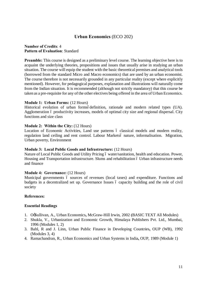# **Urban Economics** (ECO 202)

# **Number of Credits**: 4 **Pattern of Evaluation**: Standard

**Preamble:** This course is designed as a preliminary level course. The learning objective here is to acquaint the underlying theories, propositions and issues that usually arise in studying an urban situation. The course will equip the student with the basic theoretical premises and analytical tools (borrowed from the standard Micro and Macro economics) that are used by an urban economist. The course therefore is not necessarily grounded in any particular reality (except where explicitly mentioned). However, for pedagogical purposes, explanation and illustrations will naturally come from the Indian situation. It is recommended (although not strictly mandatory) that this course be taken as a pre-requisite for any of the other electives being offered in the area of Urban Economics.

# **Module 1: Urban Forms:** (12 Hours)

Historical evolution of urban formsódefinition, rationale and modern related types (UA). Agglomeration 6 productivity increases, models of optimal city size and regional dispersal. City functions and size class

# **Module 2: Within the City:** (12 Hours)

Location of Economic Activities, Land use patterns 6 classical models and modern reality, regulation land ceiling and rent control. Labour Marketsó nature, informalisation. Migration, Urban poverty, Environment

### **Module 3: Local Public Goods and Infrastructure:** (12 Hours)

Nature of Local Public Goods and Utility Pricing 6 water/sanitation, health and education. Power, Housing and Transportation infrastructure. Slums and rehabilitation 6 Urban infrastructure needs and finance

# **Module 4: Governance:** (12 Hours)

Municipal governments 6 sources of revenues (local taxes) and expenditure. Functions and budgets in a decentralized set up. Governance Issues 6 capacity building and the role of civil society

# **References:**

- 1. O'Sullivan, A., Urban Economics**,** McGraw-Hill Irwin, 2002 **(**BASIC TEXT All Modules)
- 2. Shukla, V., Urbanization and Economic Growth, Himalaya Publishers Pvt. Ltd., Mumbai, 1996 (Modules 1, 2)
- 3. Bahl, R and J. Linn, Urban Public Finance in Developing Countries**,** OUP (WB), 1992 (Modules 3, 4)
- 4. Ramachandran, R., Urban Economics and Urban Systems in India**,** OUP, 1989 (Module 1)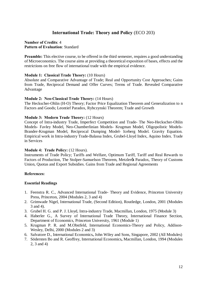# **International Trade: Theory and Policy** (ECO 203)

# **Number of Credits**: 4 **Pattern of Evaluation**: Standard

**Preamble:** This elective course, to be offered in the third semester, requires a good understanding of Microeconomics. The course aims at providing a theoretical exposition of bases, effects and the restrictions on free flow of international trade with the empirical evidence.

# **Module 1: Classical Trade Theory:** (10 Hours)

Absolute and Comparative Advantage of Trade; Real and Opportunity Cost Approaches; Gains from Trade, Reciprocal Demand and Offer Curves; Terms of Trade. Revealed Comparative Advantage

# **Module 2: Neo-Classical Trade Theory:** (14 Hours)

The Heckscher-Ohlin (H-O) Theory; Factor Price Equalization Theorem and Generalization to n Factors and Goods; Leontief Paradox, Rybczynski Theorem; Trade and Growth

# **Module 3: Modern Trade Theory:** (12 Hours)

Concept of Intra-industry Trade, Imperfect Competition and Trade- The Neo-Heckscher-Ohlin Models- Favley Model, Neo-Chamberlinian Models- Krugman Model, Oligopolistic Models-Brander-Krugman Model, Reciprocal Dumping Model- Iceberg Model. Gravity Equation. Empirical work in Intra-industry Trade-Balassa Index, Grubel-Lloyd Index, Aquino Index. Trade in Services

### **Module 4: Trade Policy:** (12 Hours).

Instruments of Trade Policy; Tariffs and Welfare, Optimum Tariff, Tariff and Real Rewards to Factors of Production, The Stolper-Samuelson Theorem, Metzler & Paradox, Theory of Customs Union, Quotas and Export Subsidies. Gains from Trade and Regional Agreements

### **References:**

- 1. Feenstra R. C., Advanced International Trade- Theory and Evidence, Princeton University Press, Princeton, 2004 (Modules 2, 3 and 4)
- 2. Grimwade Nigel, International Trade, (Second Edition), Routledge, London, 2001 (Modules 3 and 4).
- 3. Grubel H. G. and P. J. Lloyd, Intra-industry Trade, Macmillan, London, 1975 (Module 3)
- 4. Haberler G., A Survey of International Trade Theory, International Finance Section, Department of Economics, Princeton University, 1961 (Module 1)
- 5. Krugman P. R. and M.Obstfeld, International Economics-Theory and Policy, Addison-Wesley, Delhi, 2000 (Modules 2 and 3)
- 6. Salvatore D., International Economics**,** John Wiley and Sons, Singapore, 2002 (All Modules)
- 7. Södersten Bo and R. Geoffrey, International Economics**,** Macmillan, London, 1994 (Modules 2, 3 and 4)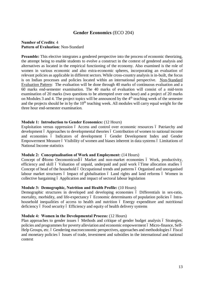# **Gender Economics** (ECO 204)

# **Number of Credits**: 4 **Pattern of Evaluation**: Non-Standard

**Preamble:** This elective integrates a gendered perspective into the process of economic theorizing, the attempt being to enable students to evolve a construct in the context of gendered analysis and alternatives as located in the empirical functioning of the economy. Also examined is the role of women in various economic and also extra-economic spheres, incorporating an evaluation of relevant policies as applicable in different sectors. While cross-country analysis is in-built, the focus is on Indian processes and policies located within an international perspective. Non-Standard Evaluation Pattern: The evaluation will be done through 40 marks of continuous evaluation and a 60 marks end-semester examination. The 40 marks of evaluation will consist of a mid-term examination of 20 marks (two questions to be attempted over one hour) and a project of 20 marks on Modules 3 and 4. The project topics will be announced by the  $4<sup>th</sup>$  teaching week of the semester and the projects should be in by the 10<sup>th</sup> teaching week. All modules will carry equal weight for the three hour end-semester examination.

# **Module 1: Introduction to Gender Economics:** (12 Hours)

Exploitation versus oppression 6 Access and control over economic resources 6 Patriarchy and development ó Approaches to developmental theories ó Contribution of women to national income and economies – Indicators of development – Gender Development Index and Gender Empowerment Measure ó Visibility of women and biases inherent in data systems ó Limitations of National Income statistics

### **Module 2: Conceptualisation of Work and Employment:** (14 Hours)

Concept of  $\pm$ Homo Oeconomicusø ó Market and non-market economies ó Work, productivity, efficiency and skill ó Valuation of unpaid, underpaid and paid work óTime allocation studies ó Concept of head of the household 6 Occupational trends and patterns 6 Organised and unorganised labour market structures 6 Impact of globalisation 6 Land rights and land reforms 6 Women in collective bargaining 6 Application and impact of sectoral labour legislation

### **Module 3: Demographic, Nutrition and Health Profile:** (10 Hours)

Demographic structures in developed and developing economies 6 Differentials in sex-ratio, mortality, morbidity, and life-expectancy 6 Economic determinants of population policies 6 Intrahousehold inequalities of access to health and nutrition 6 Energy expenditure and nutritional deficiency 6 Food security 6 Efficiency and equity of health delivery systems

### **Module 4: Women in the Developmental Process:** (12 Hours)

Plan approaches to gender issues 6 Methods and critique of gender budget analysis 6 Strategies, policies and programmes for poverty alleviation and economic empowerment 6 Micro-finance, Self-Help Groups, etc. 6 Gendering macroeconomic perspectives, approaches and methodologies 6 Fiscal and monetary policies 6 Issues of trade, investment and subsidies in the international and national context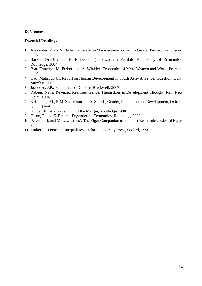# **References:**

- 1. Alexander, P. and S. Baden, Glossary on Macroeconomics from a Gender Perspective, Sussex, 2002
- 2. Barker, Drucilla and E. Kuiper (eds), Towards a Feminist Philosophy of Economics, Routledge, 2004
- 3. Blau Francine, M. Ferber, and A. Winkler, Economics of Men, Women and Work, Pearson, 2001
- 4. Haq, Mahabub Ul, Report on Human Development in South Asia- A Gender Question, OUP, Mumbai, 2000
- 5. Jacobsen, J.P., Economics of Gender, Blackwell, 2007
- 6. Kabeer, Naila**,** Reversed Realities: Gender Hierarchies in Development Thought, Kali, New Delhi, 1994
- 7. Krishnaraj, M., R.M. Sudarshan and A. Shariff, Gender, Population and Development, Oxford, Delhi, 1999
- 8. Kuiper, E., et.al. (eds), Out of the Margin, Routledge,1998
- 9. Olson, P. and Z. Emami, Engendering Economics, Routledge, 2002
- 10. Peterson, J. and M. Lewis (eds), The Elgar Companion to Feminist Economics, Edward Elgar, 2001
- 11. Tinker, I., Persistent Inequalities, Oxford University Press, Oxford, 1990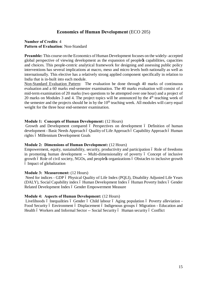# **Economics of Human Development** (ECO 205)

# **Number of Credits**: 4 **Pattern of Evaluation**: Non-Standard

**Preamble:** This course on the Economics of Human Development focuses on the widely- accepted global perspective of viewing development as the expansion of people $\alpha$  capabilities, capacities and choices. This people-centric analytical framework for designing and assessing public policy interventions has several implications at macro, meso and micro levels both nationally as well as internationally. This elective has a relatively strong applied component specifically in relation to India that is in-built into each module.

Non-Standard Evaluation Pattern: The evaluation be done through 40 marks of continuous evaluation and a 60 marks end-semester examination. The 40 marks evaluation will consist of a mid-term examination of 20 marks (two questions to be attempted over one hour) and a project of 20 marks on Modules 3 and 4. The project topics will be announced by the  $4<sup>th</sup>$  teaching week of the semester and the projects should be in by the  $10<sup>th</sup>$  teaching week. All modules will carry equal weight for the three hour end-semester examination.

# **Module 1: Concepts of Human Development:** (12 Hours)

Growth and Development compared 6 Perspectives on development 6 Definition of human development - Basic Needs Approach ó Quality of Life Approach ó Capability Approach ó Human rights ó Millennium Development Goals

### **Module 2: Dimensions of Human Development:** (12 Hours)

Empowerment, equity, sustainability, security, productivity and participation 6 Role of freedoms in promoting human development -- Multi-dimensionality of poverty 6 Concept of inclusive growth 6 Role of civil society, NGOs, and peoplex organizations 6 Obstacles to inclusive growth – Impact of globalization

# **Module 3: Measurement:** (12 Hours)

Need for indices - GDP ó Physical Quality of Life Index (PQLI), Disability Adjusted Life Years (DALY), Social Capability index ó Human Development Index ó Human Poverty Index ó Gender Related Development Index ó Gender Empowerment Measure

# **Module 4: Aspects of Human Development:** (12 Hours)

Livelihoods ó Inequalities ó Gender ó Child labour ó Aging population ó Poverty alleviation -Food Security ó Environment ó Displacement ó Indigenous groups ó Migration - Education and Health 6 Workers and Informal Sector -- Social Security 6 Human security 6 Conflict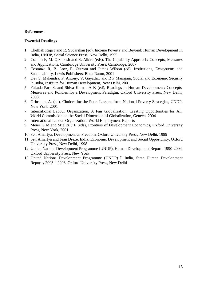# **References:**

- 1. Chelliah Raja J and R. Sudarshan (ed), Income Poverty and Beyond: Human Development In India, UNDP, Social Science Press, New Delhi, 1999
- 2. Comim F, M. Qizilbash and S. Alkire (eds), The Capability Approach: Concepts, Measures and Applications, Cambridge University Press, Cambridge, 2007
- 3. Costanza R, B. Low, E. Ostrom and James Wilson (ed), Institutions, Ecosystems and Sustainability, Lewis Publishers, Boca Raton, 2001
- 4. Dev S. Mahendra, P. Antony, V. Gayathri, and R P Mamgain, Social and Economic Security in India, Institute for Human Development, New Delhi, 2001
- 5. Fukuda-Parr S. and Shiva Kumar A K (ed), Readings in Human Development: Concepts, Measures and Policies for a Development Paradigm, Oxford University Press, New Delhi, 2003
- 6. Grinspun, A. (ed), Choices for the Poor, Lessons from National Poverty Strategies, UNDP, New York, 2001
- 7. International Labour Organization, A Fair Globalization: Creating Opportunities for All, World Commission on the Social Dimension of Globalization, Geneva, 2004
- 8. International Labour Organization: World Employment Reports
- 9. Meier G M and Stiglitz J E (eds), Frontiers of Development Economics, Oxford University Press, New York, 2001
- 10. Sen Amartya, Development as Freedom, Oxford University Press, New Delhi, 1999
- 11. Sen Amartya and Jean Dreze, India: Economic Development and Social Opportunity, Oxford University Press, New Delhi, 1998
- 12. United Nations Development Programme (UNDP), Human Development Reports 1990-2004, Oxford University Press, New York
- 13. United Nations Development Programme (UNDP) ó India, State Human Development Reports, 2003 ó 2006, Oxford University Press, New Delhi.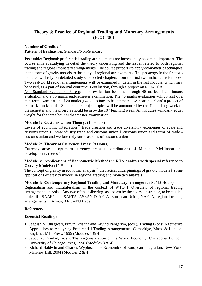# **Theory & Practice of Regional Trading and Monetary Arrangements** (ECO 206)

# **Number of Credits**: 4 **Pattern of Evaluation**: Standard/Non-Standard

**Preamble:** Regional/ preferential trading arrangements are increasingly becoming important. The course aims at studying in detail the theory underlying and the issues related to both regional trading and regional monetary arrangements. The course purports to apply econometric techniques in the form of gravity models to the study of regional arrangements. The pedagogy in the first two modules will rely on detailed study of selected chapters from the first two indicated references. Two real-world regional arrangements will be examined in detail in the last module, which may be tested, as a part of internal continuous evaluation, through a project on RTA/RCA.

Non-Standard Evaluation Pattern:The evaluation be done through 40 marks of continuous evaluation and a 60 marks end-semester examination. The 40 marks evaluation will consist of a mid-term examination of 20 marks (two questions to be attempted over one hour) and a project of 20 marks on Modules 3 and 4. The project topics will be announced by the  $4<sup>th</sup>$  teaching week of the semester and the projects should be in by the  $10<sup>th</sup>$  teaching week. All modules will carry equal weight for the three hour end-semester examination.

# **Module 1: Customs Union Theory:** (16 Hours)

Levels of economic integration 6 trade creation and trade diversion - economies of scale and customs union 6 intra-industry trade and customs union 6 customs union and terms of trade customs union and welfare 6 dynamic aspects of customs union

# **Module 2: Theory of Currency Areas:** (8 Hours)

Currency areas ó optimum currency areas ó contributions of Mundell, McKinnon and developments thereof

# **Module 3: Applications of Econometric Methods in RTA analysis with special reference to Gravity Models:** (12 Hours)

The concept of gravity in economic analysis 6 theoretical underpinnings of gravity models 6 some applications of gravity models in regional trading and monetary analysis

# **Module 4: Contemporary Regional Trading and Monetary Arrangements:** (12 Hours)

Regionalism and multilateralism in the context of WTO 6 Overview of regional trading arrangements in Asia - Any two of the following, as chosen by the course instructor, to be studied in details: SAARC and SAFTA, ASEAN & AFTA, European Union, NAFTA, regional trading arrangements in Africa, Africa-EU trade

# **References:**

- 1. Jagdish N. Bhagwati, Pravin Krishna and Arvind Pangariya, (eds.), Trading Blocs: Alternative Approaches to Analyzing Preferential Trading Arrangements, Cambridge, Mass. & London, England: MIT Press, 1999 (Modules 1 & 4)
- 2. Jacob A. Frankel, (eds.), The Regionalization of the World Economy, Chicago & London: University of Chicago Press, 1998 (Modules 3 & 4)
- 3. Richard Baldwin and Charles Wyplosz, The Economics of European Integration, New York: McGraw Hill, 2004 (Modules 2 & 4)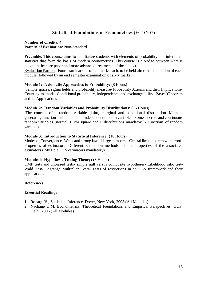# **Statistical Foundations of Econometrics** (ECO 207)

## **Number of Credits**: 4 **Pattern of Evaluation**: Non-Standard

**Preamble**: This course aims to familiarize students with elements of probability and inferential statistics that form the basis of modern econometrics. This course is a bridge between what is taught in the core paper and more advanced treatments of the subject.

Evaluation Pattern:Four examinations of ten marks each, to be held after the completion of each module, followed by an end semester examination of sixty marks.

### **Module 1: Axiomatic Approaches to Probability:** (8 Hours)

Sample spaces, sigma fields and probability measure- Probability Axioms and their Implications-Counting methods- Conditional probability, independence and exchangeability- Bayesø Theorem and its Applications

### **Module 2: Random Variables and Probability Distributions:** (16 Hours)

The concept of a random variable- joint, marginal and conditional distributions-Moment generating function and cumulants- Independent random variables- Some discrete and continuous random variables (normal, t, chi square and F distributions mandatory)- Functions of random variables

### **Module 3: Introduction to Statistical Inference:** (16 Hours)

Modes of Convergence- Weak and strong law of large numbers 6 Central limit theorem with proof-Properties of estimators- Different Estimation methods and the properties of the associated estimators ( Multiple OLS estimators mandatory)

### **Module 4**: **Hypothesis Testing Theory:** (8 Hours)

UMP tests and unbiased tests- simple null versus composite hypotheses- Likelihood ratio test-Wald Test- Lagrange Multiplier Tests- Tests of restrictions in an OLS framework and their applications.

### **References:**

- 1. Rohatgi V., Statistical Inference, Dover, New York, 2003 (All Modules).
- 2. Nachane D.M, Econometrics: Theoretical Foundations and Empirical Perspectives, OUP, Delhi, 2006 (All Modules)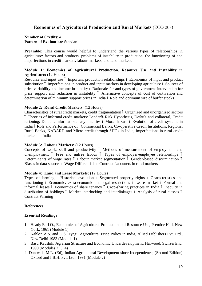# **Economics of Agricultural Production and Rural Markets** (ECO 208)

# **Number of Credits**: 4 **Pattern of Evaluation**: Standard

**Preamble:** This course would helpful to understand the various types of relationships in agriculture: factors and products, problems of instability in production, the functioning of and imperfections in credit markets, labour markets, and land markets.

# **Module 1: Economics of Agricultural Production, Resource Use and Instability in Agriculture:** (12 Hours)

Resource and input use 6 Important production relationships 6 Economics of input and product substitution 6 Imperfections in product and input markets in developing agriculture 6 Sources of price variability and income instability 6 Rationale for and types of government intervention for price support and reduction in instability 6 Alternative concepts of cost of cultivation and determination of minimum support prices in India ó Role and optimum size of buffer stocks

# **Module 2: Rural Credit Markets:** (12 Hours)

Characteristics of rural credit markets, credit fragmentation ó Organized and unorganized sectors ó Theories of informal credit markets: Lenderøs Risk Hypothesis, Default and collateral, Credit rationing: Default, Informational asymmetries 6 Moral hazard 6 Evolution of credit systems in India 6 Role and Performance of Commercial Banks, Co-operative Credit Institutions, Regional Rural Banks, NABARD and Micro-credit through SHGs in India, imperfections in rural credit markets in India

## **Module 3: Labour Markets:** (12 Hours)

Concepts of work, skill and productivity 6 Methods of measurement of employment and unemployment ó Free and unfree labour ó Types of employer-employee relationships ó Determinants of wage rates ó Labour market segmentation ó Gender-based discrimination ó Biases in data sources ó Wage Differentials ó Contract Labourers in rural markets

### **Module 4: Land and Lease Markets:** (12 Hours)

Types of farming 6 Historical evolution 6 Segmented property rights 6 Characteristics and functioning 6 Economic, extra-economic and legal restrictions 6 Lease market 6 Formal and informal leases ó Economics of share tenancy ó Crop-sharing practices in India ó Inequity in distribution of holdings 6 Market interlocking and interlinkages 6 Analysis of rural classes 6 Contract Farming

### **References:**

- 1. Heady Earl O., Economics of Agricultural Production and Resource Use, Prentice Hall, New York, 1961 (Module 1)
- 2. Kahlon A.S. and D.S. Tyagi, Agricultural Price Policy in India, Allied Publishers Pvt. Ltd., New Delhi 1983 (Module 1)
- 3. Basu Kaushik, Agrarian Structure and Economic Underdevelopment, Harwood, Switzerland, 1990 (Modules 2, 3, 4)
- 4. Dantwala M.L. (Ed), Indian Agricultural Development since Independence, (Second Edition) Oxford and I.B.H. Pvt. Ltd., 1991 (Module 2)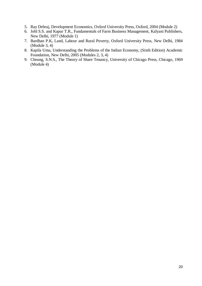- 5. Ray Debraj, Development Economics, Oxford University Press, Oxford, 2004 (Module 2)
- 6. Johl S.S. and Kapur T.R., Fundamentals of Farm Business Management, Kalyani Publishers, New Delhi, 1977 (Module 1)
- 7. Bardhan P.K, Land, Labour and Rural Poverty, Oxford University Press, New Delhi, 1984 (Module 3, 4)
- 8. Kapila Uma, Understanding the Problems of the Indian Economy, (Sixth Edition) Academic Foundation, New Delhi, 2005 (Modules 2, 3, 4)
- 9. Cheung, S.N.S., The Theory of Share Tenancy, University of Chicago Press, Chicago, 1969 (Module 4)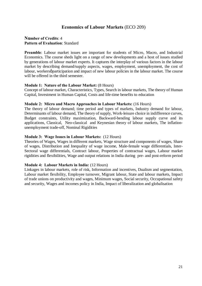# **Economics of Labour Markets** (ECO 209)

# **Number of Credits**: 4 **Pattern of Evaluation**: Standard

**Preamble**: Labour market issues are important for students of Micro, Macro, and Industrial Economics. The course sheds light on a range of new developments and a host of issues studied by generations of labour market experts. It captures the interplay of various factors in the labour market by describing demand/supply aspects, wages, employment, unemployment, the cost of labour, workers *participation and impact of new labour policies in the labour market. The course* will be offered in the third semester.

# **Module 1: Nature of the Labour Market:** (8 Hours)

Concept of labour market, Characteristics, Types, Search in labour markets, The theory of Human Capital, Investment in Human Capital, Costs and life-time benefits to education

### **Module 2: Micro and Macro Approaches in Labour Markets:** (16 Hours)

The theory of labour demand; time period and types of markets, Industry demand for labour, Determinants of labour demand, The theory of supply, Work-leisure choice in indifference curves, Budget constraints, Utility maximization, Backward-bending labour supply curve and its applications, Classical, Neo-classical and Keynesian theory of labour markets, The inflationunemployment trade-off, Nominal Rigidities

### **Module 3: Wage Issues in Labour Markets:** (12 Hours)

Theories of Wages, Wages in different markets, Wage structure and components of wages, Share of wages, Distribution and Inequality of wage income, Male-female wage differentials, Inter-Sectoral wage differentials, Contract labour, Properties of contractual wages, Labour market rigidities and flexibilities, Wage and output relations in India during pre- and post-reform period

### **Module 4: Labour Markets in India:** (12 Hours)

Linkages in labour markets, role of risk, Information and incentives, Dualism and segmentation, Labour market flexibility, Employee turnover, Migrant labour, State and labour markets, Impact of trade unions on productivity and wages, Minimum wages, Social security, Occupational safety and security, Wages and incomes policy in India, Impact of liberalization and globalisation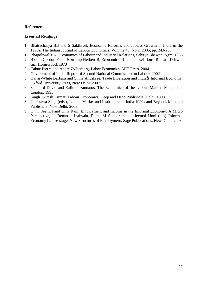# **References:**

- 1. Bhattacharya BB and S Sakthivel, Economic Reforms and Jobless Growth in India in the 1990s, The Indian Journal of Labour Economics, Volume 48, No.2, 2005, pp. 243-258
- 1. Bhagoliwal T.N., Economics of Labour and Industrial Relations, Sahitya Bhawan, Agra, 1985
- 2. Bloom Gordon F and Northrup Herbert R, Economics of Labour Relations, Richard D Irwin Inc, Homewood, 1973
- 3. Cahuc Pierre and Andre Zylberberg, Labor Economics, MIT Press, 2004
- 4. Government of India, Report of Second National Commission on Labour, 2002
- 5. Harris-White Barbara and Sinha Anushree, Trade Liberation and India $\alpha$  Informal Economy, Oxford University Press, New Delhi, 2007
- 6. Sapsford David and Zafiris Tzannatos, The Economics of the Labour Market, Macmillan, London, 1993
- 7. Singh Jwitesh Kumar, Labour Economics, Deep and Deep Publishers, Delhi, 1998
- 8. Uchikawa Shuji (eds.), Labour Market and Institutions in India 1990s and Beyond**,** Manohar Publishers, New Delhi, 2003
- 9. Unni Jeemol and Uma Rani, Employment and Income in the Informal Economy: A Micro Perspective, in Renana Jhabvala, Ratna M Sundaram and Jeemol Unni (eds) Informal Economy Centre-stage: New Structures of Employment, Sage Publications, New Delhi, 2003.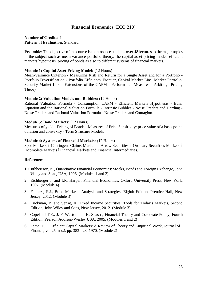# **Financial Economics** (ECO 210)

# **Number of Credits**: 4 **Pattern of Evaluation**: Standard

**Preamble:** The objective of the course is to introduce students over 48 lectures to the major topics in the subject such as mean-variance portfolio theory, the capital asset pricing model, efficient markets hypothesis, pricing of bonds as also to different systems of financial markets.

### **Module 1: Capital Asset Pricing Model:** (12 Hours)

Mean-Variance Criterion - Measuring Risk and Return for a Single Asset and for a Portfolio - Portfolio Diversification - Portfolio Efficiency Frontier, Capital Market Line, Market Portfolio, Security Market Line - Extensions of the CAPM - Performance Measures - Arbitrage Pricing Theory

#### **Module 2: Valuation Models and Bubbles:** (12 Hours)

Rational Valuation Formula - Consumption CAPM - Efficient Markets Hypothesis - Euler Equation and the Rational Valuation Formula - Intrinsic Bubbles - Noise Traders and Herding - Noise Traders and Rational Valuation Formula - Noise Traders and Contagion.

#### **Module 3: Bond Markets:** (12 Hours)

Measures of yield - Pricing of Bonds - Measures of Price Sensitivity: price value of a basis point, duration and convexity - Term Structure Models.

#### **Module 4: Systems of Financial Markets:** (12 Hours)

Spot Markets ó Contingent Claims Markets ó Arrow Securities ó Ordinary Securities Markets ó Incomplete Markets óFinancial Markets and Financial Intermediaries.

#### **References:**

- 1. Cuthbertson, K., Quantitative Financial Economics: Stocks, Bonds and Foreign Exchange, John Wiley and Sons, USA, 1996. (Modules 1 and 2)
- 2. Eichberger J. and I.R. Harper, Financial Economics, Oxford University Press, New York, 1997. (Module 4)
- 3. Fabozzi, F.J., Bond Markets: Analysis and Strategies, Eighth Edition, Prentice Hall, New Jersey, 2012. (Module 3)
- 4. Tuckman, B. and Serrat, A., Fixed Income Securities: Tools for Today's Markets, Second Edition, John Wiley and Sons, New Jersey, 2012. (Module 3)
- 5. Copeland T.E., J. F. Weston and K. Shastri, Financial Theory and Corporate Policy, Fourth Edition, Pearson Addison-Wesley USA, 2005. (Modules 1 and 2)
- 6. Fama, E. F. Efficient Capital Markets: A Review of Theory and Empirical Work, Journal of Finance, vol.25, no.2, pp. 383-423, 1970. (Module 2)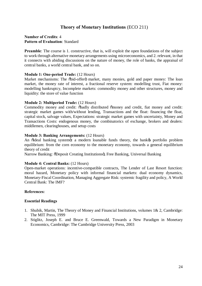# **Theory of Monetary Institutions** (ECO 211)

# **Number of Credits**: 4 **Pattern of Evaluation**: Standard

**Preamble:** The course is 1. constructive, that is, will exploit the open foundations of the subject to work through alternative monetary arrangements using microeconomics, and 2. relevant, in that it connects with abiding discussions on the nature of money, the role of banks, the appraisal of central banks, a world central bank, and so on.

# **Module 1: One-period Trade:** (12 Hours)

Market mechanisms: The  $\ddot{\text{o} \text{bid}}$ -offer $\ddot{\text{o}}$  market, many monies, gold and paper money: The loan market, the money rate of interest, a fractional reserve system: modelling trust, Fiat money: modelling bankruptcy, Incomplete markets: commodity money and other structures, money and liquidity: the store of value function

# **Module 2: Multiperiod Trade:** (12 Hours)

Commodity money and credit:  $\delta$ badly distributed  $\delta$ money and credit, fiat money and credit: strategic market games with/without lending, Transactions and the float: financing the float, capital stock, salvage values, Expectations: strategic market games with uncertainty, Money and Transactions Costs: endogenous money, the combinatorics of exchange, brokers and dealers: middlemen, clearinghouses, and setup costs

### **Module 3: Banking Arrangements:** (12 Hours)

An õideal banking system is a modern loanable funds theory, the bank t portfolio problem equilibrium: from the corn economy to the monetary economy, towards a general equilibrium theory of credit

Narrow Banking:  $\delta$ Deposit Creating Institutionsö, Free Banking, Universal Banking

### **Module 4: Central Banks:** (12 Hours)

Open-market operations: incentive-compatible contracts, The Lender of Last Resort function: moral hazard, Monetary policy with informal financial markets: dual economy dynamics, Monetary-Fiscal Coordination, Managing Aggregate Risk: systemic fragility and policy, A World Central Bank: The IMF?

### **References:**

- 1. Shubik, Martin, The Theory of Money and Financial Institutions, volumes 1& 2, Cambridge: The MIT Press, 1999
- 2. Stiglitz, Joseph E. and Bruce E. Greenwald, Towards a New Paradigm in Monetary Economics, Cambridge: The Cambridge University Press, 2003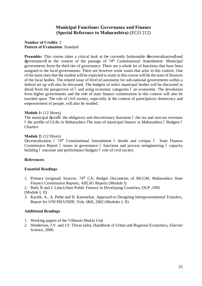# **Municipal Functions: Governance and Finance (Special Reference to Maharashtra)** (ECO 212)

# **Number of Credits**: 2 **Pattern of Evaluation**: Standard

**Preamble:** This course takes a critical look at the currently fashionable  $\exists$ decentralizationg and  $\pm$ governance in the context of the passage of 74<sup>th</sup> Constitutional Amendment. Municipal governments form the third tier of governance. There are a whole lot of functions that have been assigned to the local governments. There are however some issues that arise in this context. One of the main ones that the student will be expected to study in this course will be the state of finances of the local bodies. The related issue of level of autonomy for sub-national governments within a federal set up will also be discussed. The budgets of select municipal bodies will be discussed in detail from the perspective of 6 and using economic categories 6 an economist. The devolution from higher governments and the role of state finance commissions in this context will also be touched upon. The role of civil society, especially in the context of participatory democracy and empowerment of people, will also be studied.

# **Module 1:** (12 Hours)

The municipal  $\pm$  acts  $\phi$  the obligatory and discretionary functions  $\phi$  the tax and non-tax revenues ó the profile of ULBs in Maharashtra The state of municipal finance in Maharashtra ó Budgets ó **Charters** 

# **Module 2:** (12 Hours)

Decentralization  $\acute{o}$  74<sup>th</sup> Constitutional Amendment  $\acute{o}$  details and critique  $\acute{o}$  State Finance Commission Report 6 issues in governance 6 functions and process reengineering 6 capacity building 6 outcome and performance budgets 6 role of civil society

# **References:**

# **Essential Readings**

- 1. Primary (original) Sources: 74<sup>th</sup> CA; Budget Documents of MCGM, Maharashtra State Finance Commission Reports, AIILSG Reports (Module I)
- 2. Bahl, R and J. Linn,Urban Public Finance in Developing Countries**,** OUP ,1992
- (Module I, II)
- 3. Karnik, A., A. Pethe and D. Karmarkar, Approach to Designing Intergovernmental Transfers, Report for UNCHS/UNDP, Vols. I&II, 2002 (Modules I, II)

### **Additional Readings**

- 1. Working papers of the Vibhooti Shukla Unit
- 2. Henderson, J.V. and J.F. Thisse (eds), Handbook of Urban and Regional Economics**,** Elsevier Science, 2006.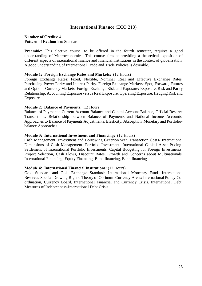# **International Finance** (ECO 213)

# **Number of Credits**: 4 **Pattern of Evaluation**: Standard

**Preamble:** This elective course, to be offered in the fourth semester, requires a good understanding of Macroeconomics. This course aims at providing a theoretical exposition of different aspects of international finance and financial institutions in the context of globalization. A good understanding of International Trade and Trade Policies is desirable.

### **Module 1: Foreign Exchange Rates and Markets:** (12 Hours)

Foreign Exchange Rates: Fixed, Flexible, Nominal, Real and Effective Exchange Rates, Purchasing Power Parity and Interest Parity. Foreign Exchange Markets: Spot, Forward, Futures and Options Currency Markets. Foreign Exchange Risk and Exposure: Exposure, Risk and Parity Relationship, Accounting Exposure versus Real Exposure, Operating Exposure, Hedging Risk and Exposure.

#### **Module 2: Balance of Payments:** (12 Hours)

Balance of Payments: Current Account Balance and Capital Account Balance, Official Reserve Transactions, Relationship between Balance of Payments and National Income Accounts. Approaches to Balance of Payments Adjustments: Elasticity, Absorption, Monetary and Portfoliobalance Approaches

#### **Module 3: International Investment and Financing:** (12 Hours)

Cash Management: Investment and Borrowing Criterion with Transaction Costs- International Dimensions of Cash Management. Portfolio Investment: International Capital Asset Pricing-Settlement of International Portfolio Investments. Capital Budgeting for Foreign Investments: Project Selection, Cash Flows, Discount Rates, Growth and Concerns about Multinationals. International Financing: Equity Financing, Bond financing, Bank financing

### **Module 4: International Financial Institutions:** (12 Hours)

Gold Standard and Gold Exchange Standard: International Monetary Fund- International Reserves-Special Drawing Rights. Theory of Optimum Currency Areas: International Policy Coordination, Currency Board, International Financial and Currency Crisis. International Debt: Measures of Indebtedness-International Debt Crisis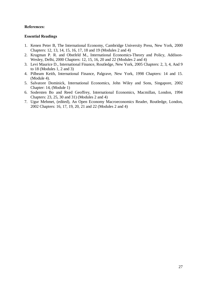# **References:**

- 1. Kenen Peter B, The International Economy, Cambridge University Press, New York, 2000 Chapters: 12, 13, 14, 15, 16, 17, 18 and 19 (Modules 2 and 4)
- 2. Krugman P. R. and Obstfeld M., International Economics-Theory and Policy, Addison-Wesley, Delhi, 2000 Chapters: 12, 15, 16, 20 and 22 (Modules 2 and 4)
- 3. Levi Maurice D., International Finance, Routledge, New York, 2005 Chapters: 2, 3, 4, And 9 to 18 (Modules 1, 2 and 3)
- 4. Pilbeam Keith, International Finance, Palgrave, New York, 1998 Chapters: 14 and 15. (Module 4).
- 5. Salvatore Dominick, International Economics, John Wiley and Sons, Singapore, 2002 Chapter: 14, (Module 1)
- 6. Sodersten Bo and Reed Geoffrey, International Economics, Macmillan, London, 1994 Chapters: 23, 25, 30 and 31) (Modules 2 and 4)
- 7. Ugur Mehmet, (edited), An Open Economy Macroeconomics Reader, Routledge, London, 2002 Chapters: 16, 17, 19, 20, 21 and 22 (Modules 2 and 4)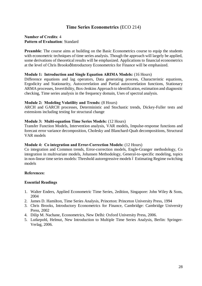# **Time Series Econometrics** (ECO 214)

# **Number of Credits**: 4 **Pattern of Evaluation**: Standard

**Preamble:** The course aims at building on the Basic Econometrics course to equip the students with econometric techniques of time series analysis. Though the approach will largely be applied, some derivations of theoretical results will be emphasized. Applications to financial econometrics at the level of Chris Brooksø Introductory Econometrics for Finance will be emphasized.

# **Module 1: Introduction and Single Equation ARIMA Models:** (16 Hours)

Difference equations and lag operators, Data generating process, Characteristic equations, Ergodicity and Stationarity, Autocorrelation and Partial autocorrelation functions, Stationary ARMA processes, Invertibility, Box-Jenkins Approach to identification, estimation and diagnostic checking, Time series analysis in the frequency domain, Uses of spectral analysis.

# **Module 2: Modeling Volatility and Trends:** (8 Hours)

ARCH and GARCH processes, Deterministic and Stochastic trends, Dickey-Fuller tests and extensions including testing for structural change

# **Module 3: Multi-equation Time Series Models:** (12 Hours)

Transfer Function Models, Intervention analysis, VAR models, Impulse-response functions and forecast error variance decomposition, Cholesky and Blanchard-Quah decompositions, Structural VAR models

## **Module 4: Co integration and Error-Correction Models:** (12 Hours)

Co integration and Common trends, Error-correction models, Engle-Granger methodology, Co integration in multivariate models, Johansen Methodology, General-to-specific modeling, topics in non-linear time series models: Threshold autoregressive models  $\acute{o}$  Estimating Regime switching models

# **References:**

- 1. Walter Enders, Applied Econometric Time Series, 2edition, Singapore: John Wiley & Sons, 2004
- 2. James D. Hamilton, Time Series Analysis, Princeton: Princeton University Press, 1994
- 3. Chris Brooks, Introductory Econometrics for Finance, Cambridge: Cambridge University Press, 2002
- 4. Dilip M. Nachane, Econometrics, New Delhi: Oxford University Press, 2006.
- 5. Lutkepohl, Helmut, New Introduction to Multiple Time Series Analysis, Berlin: Springer-Verlag, 2006.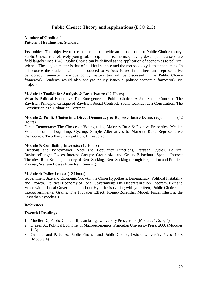# **Public Choice: Theory and Applications** (ECO 215)

# **Number of Credits**: 4 **Pattern of Evaluation**: Standard

**Preamble:** The objective of the course is to provide an introduction to Public Choice theory. Public Choice is a relatively young sub-discipline of economics, having developed as a separate field largely since 1948. Public Choice can be defined as the application of economics to political science. The subject matter is that of political science and the methodology is that economics. In this course the students will be introduced to various issues in a direct and representative democracy framework. Various policy matters too will be discussed in the Public Choice framework. Students would also analyze policy issues a politico-economic framework via projects.

# **Module 1: Toolkit for Analysis & Basic Issues:** (12 Hours)

What is Political Economy? The Emergence of Public Choice, A Just Social Contract: The Rawlsian Principle, Critique of Rawlsian Social Contract, Social Contract as a Constitution, The Constitution as a Utilitarian Contract

# **Module 2: Public Choice in a Direct Democracy & Representative Democracy:** (12 Hours)

Direct Democracy: The Choice of Voting rules, Majority Rule & Positive Properties: Median Voter Theorem, Logrolling, Cycling, Simple Alternatives to Majority Rule, Representative Democracy: Two Party Competition, Bureaucracy

# **Module 3: Conflicting Interests:** (12 Hours)

Elections and Policymaker: Vote and Popularity Functions, Partisan Cycles, Political Business/Budget Cycles Interest Groups: Group size and Group Behaviour, Special Interest Theories, Rent Seeking: Theory of Rent Seeking, Rent Seeking through Regulation and Political Process, Welfare Losses from Rent Seeking.

# **Module 4: Policy Issues:** (12 Hours)

Government Size and Economic Growth: the Olson Hypothesis, Bureaucracy, Political Instability and Growth. Political Economy of Local Government: The Decentralization Theorem, Exit and Voice within Local Government, Tiebout Hypothesis -voting with your feet a Public Choice and Intergovernmental Grants: The Flypaper Effect, Romer-Rosenthal Model, Fiscal Illusion, the Leviathan hypothesis.

# **References:**

- 1. Mueller D., Public Choice III, Cambridge University Press, 2003 (Modules 1, 2, 3, 4)
- 2. Drazen A., Political Economy in Macroeconomics, Princeton University Press, 2000 (Modules 1, 3)
- 3. Cullis J. and P. Jones, Public Finance and Public Choice, Oxford University Press, 1998 (Module 4)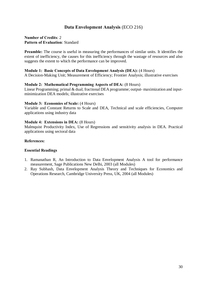## **Data Envelopment Analysis** (ECO 216)

## **Number of Credits**: 2 **Pattern of Evaluation**: Standard

**Preamble:** The course is useful in measuring the performances of similar units. It identifies the extent of inefficiency, the causes for this inefficiency through the wastage of resources and also suggests the extent to which the performance can be improved.

### **Module 1: Basic Concepts of Data Envelopment Analysis (DEA):** (4 Hours)

A Decision-Making Unit; Measurement of Efficiency; Frontier Analysis; illustrative exercises

### **Module 2: Mathematical Programming Aspects of DEA:** (8 Hours)

Linear Programming; primal & dual; fractional DEA programme; output- maximization and inputminimization DEA models; illustrative exercises

### **Module 3: Economies of Scale:** (4 Hours)

Variable and Constant Returns to Scale and DEA, Technical and scale efficiencies, Computer applications using industry data

### **Module 4: Extensions in DEA:** (8 Hours)

Malmquist Productivity Index, Use of Regressions and sensitivity analysis in DEA. Practical applications using sectoral data

### **References:**

- 1. Ramanathan R, An Introduction to Data Envelopment Analysis A tool for performance measurement, Sage Publications New Delhi, 2003 (all Modules)
- 2. Ray Subhash, Data Envelopment Analysis Theory and Techniques for Economics and Operations Research, Cambridge University Press, UK, 2004 (all Modules)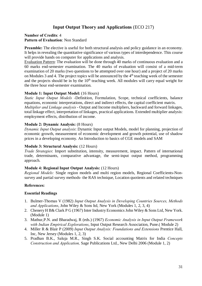## **Input Output Theory and Applications** (ECO 217)

### **Number of Credits**: 4 **Pattern of Evaluation**: Non Standard

**Preamble:** The elective is useful for both structural analysis and policy guidance in an economy. It helps in revealing the quantitative significance of various types of interdependence. This course will provide hands on computer for applications and analysis.

Evaluation Pattern: The evaluation will be done through 40 marks of continuous evaluation and a 60 marks end-semester examination. The 40 marks of evaluation will consist of a mid-term examination of 20 marks (two questions to be attempted over one hour) and a project of 20 marks on Modules 3 and 4. The project topics will be announced by the  $4<sup>th</sup>$  teaching week of the semester and the projects should be in by the  $10<sup>th</sup>$  teaching week. All modules will carry equal weight for the three hour end-semester examination.

## **Module 1: Input Output Model:** (16 Hours)

*Static Input Output Models* -Definition, Formulation, Scope, technical coefficients, balance equations, economic interpretations, direct and indirect effects, the capital coefficient matrix. *Multiplier and Linkage analysis* - Output and Income multipliers, backward and forward linkages, total linkage effect, interpretation of linkages, practical applications. Extended multiplier analysis: employment effects, distribution of income.

### **Module 2: Dynamic Analysis:** (8 Hours)

*Dynamic Input Output analysis*: Dynamic Input output Models, model for planning, projection of economic growth, measurement of economic development and growth potential, use of shadow prices in a developing economy. An Introduction to basics of CGE models and SAM

#### **Module 3: Structural Analysis:** (12 Hours)

*Trade Strategies*: Import substitution, intensity, measurement, impact. Pattern of international trade, determinants, comparative advantage, the semi-input output method, programming approach.

#### **Module 4: Regional Input Output Analysis:** (12 Hours)

*Regional Models:* Single region models and multi region models, Regional Coefficients-Nonsurvey and partial survey methods- the RAS technique, Location quotients and related techniques

#### **References:**

- 1. Bulmer-Thomas V (1982) *Input Output Analysis in Developing Countries Sources, Methods and Applications*, John Wiley & Sons ltd, New York (Modules 1, 2, 3, 4)
- 2. Chenery H B& Clark P G (1967) Inter Industry Economics John Wiley & Sons Ltd, New York. (Module 1)
- 3. Mathur,P.N. and Bharadwaj, R (eds.) (1967) *Economic Analysis in Input Output Framework with Indian Empirical Explorations*, Input Output Research Association, Pune.( Module 2)
- 4. Miller R & Blair P (2009) *Input Output Analysis: Foundations and Extensions* Prentice Hall, Inc, New Jersey (Modules 1, 2, 3)
- 5. Pradhan B.K., Saluja M.R., Singh S.K. Social accounting Matrix for India *Concepts Construction and Application,* Sage Publications Ltd., New Delhi 2006 (Module 1, 2)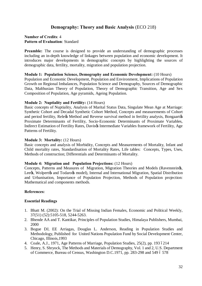## **Demography: Theory and Basic Analysis** (ECO 218)

### **Number of Credits**: 4 **Pattern of Evaluation**: Standard

**Preamble:** The course is designed to provide an understanding of demographic processes including an in-depth knowledge of linkages between population and economic development. It introduces major developments in demographic concepts by highlighting the sources of demographic data, fertility, mortality, migration and population projection.

### **Module 1: Population Science, Demography and Economic Development:** (10 Hours)

Population and Economic Development, Population and Environment, Implications of Population Growth on Regional Imbalances, Population Science and Demography, Sources of Demographic Data, Malthusian Theory of Population, Theory of Demographic Transition, Age and Sex Composition of Population, Age pyramids, Ageing Population.

### **Module 2: Nuptiality and Fertility:** (14 Hours)

Basic concepts of Nuptiality, Analysis of Marital Status Data, Singulate Mean Age at Marriage: Synthetic Cohort and Decadal Synthetic Cohort Method, Concepts and measurements of Cohort and period fertility, Releøs Method and Reverse survival method in fertility analysis, Bongaartøs Proximate Determinants of Fertility, Socio-Economic Determinants of Proximate Variables, Indirect Estimation of Fertility Rates, Davis $\alpha$  Intermediate Variables framework of Fertility, Age Patterns of Fertility.

### **Module 3: Mortality:** (12 Hours)

Basic concepts and analysis of Morbidity, Concepts and Measurements of Mortality, Infant and Child mortality rates, Standardisation of Mortality Rates, Life tables: Concepts, Types, Uses, Methods of construction; Differentials and Determinants of Mortality.

#### **Module 4: Migration and Population Projections:** (12 Hours)

Concepts, Patterns and Measures of Migration, Migration Theories and Models (Ravensteings, Leegs, Wolpertgs and Todarogs model), Internal and International Migration, Spatial Distribution and Urbanisation, Importance of Population Projection, Methods of Population projection: Mathematical and components methods.

## **References:**

- 1. Bhatt M. (2002): On the Trial of Missing Indian Females, Economic and Political Weekly, 37(51) (52):5105-518, 5244-5263.
- 2. Bhende AA and T. Kantikar, Principles of Population Studies, Himalaya Publishers, Mumbai, 2000
- 3. Bogue DJ, EE Arriagas, Douglas L. Anderson, Reading in Population Studies and Methodology, Published for United Nations Population Fund by Social Development Center, Chicago, Illinois,1993
- 4. Coale, A.J., 1971, Age Patterns of Marriage, Population Studies, 25(2), pp. 193 6214
- 5. Henry, S. Shryock, The Methods and Materials of Demography, Vol. 1 and 2, U.S. Department of Commerce, Bureau of Census, Washington D.C.1971, pp. 283-298 and 549  $6\,578$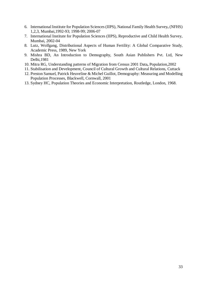- 6. International Institute for Population Sciences (IIPS), National Family Health Survey**,** (NFHS) 1,2,3, Mumbai,1992-93; 1998-99; 2006-07
- 7. International Institute for Population Sciences (IIPS), Reproductive and Child Health Survey, Mumbai, 2002-04
- 8. Lutz, Wolfgang, Distributional Aspects of Human Fertility: A Global Comparative Study, Academic Press, 1989, New York
- 9. Mishra BD, An Introduction to Demography, South Asian Publishers Pvt. Ltd, New Delhi,1981
- 10. Mitra RG, Understanding patterns of Migration from Census 2001 Data**,** Population,2002
- 11. Stabilisation and Development, Council of Cultural Growth and Cultural Relations, Cuttack
- 12. Preston Samuel, Patrick Heuveline & Michel Guillot, Demography: Measuring and Modelling Population Processes, Blackwell, Cornwall, 2001
- 13. Sydney HC, Population Theories and Economic Interpretation, Routledge, London, 1968.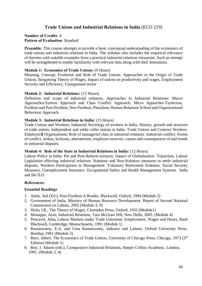## **Trade Unions and Industrial Relations in India** (ECO 219)

# **Number of Credits**: 4

## **Pattern of Evaluation**: Standard

**Preamble:** This course attempts to provide a basic conceptual understanding of the economics of trade unions and industrial relations in India. The syllabus also includes the empirical relevance of theories with suitable examples from a practical industrial relations viewpoint. Such an attempt will be strengthened to enable familiarity with relevant data along with their limitations.

## **Module 1: Economics of Trade Unions:** (9 Hours)

Meaning, Concept, Evolution and Role of Trade Unions. Approaches to the Origin of Trade Unions. Bargaining Theory of Wages, Impact of unions on productivity and wages, Employment Security and Efficiency, Unorganised sector

## **Module 2: Industrial Relations:** (12 Hours)

Definition and scope of industrial relations, Approaches to Industrial Relations: Macro Approaches-System Approach and Class Conflict Approach, Micro Appraches-Taylorism, Fordism and Post-Fordism, Neo-Fordism, Pluralism, Human Relations School and Organisational Behaviour Approach.

## **Module 3: Industrial Relations in India:** (15 Hours)

Trade Unions and Workers: Industrial Sociology of workers in India, History, growth and structure of trade unions, Independent and white collar unions in India. Trade Unions and Contract Workers. Employer & Organisations: Role of managerial class in industrial relations. Industrial conflict: Forms of conflict, strikes, lockouts, absenteeism, employee turnover, causes and consequences of and trends in industrial disputes.

## **Module 4: Role of the State in Industrial Relations in India:** (12 Hours)

Labour Policy in India: Pre and Post-Reform scenario, Impact of Globalisation- Tripartism, Labour Legislation affecting industrial relations: Statutory and Non-Statutory measures to settle industrial disputes. Workers Participation in Management. Voluntary Retirement Schemes, Social Security Measures, Unemployment Insurance. Occupational Safety and Health Management Systems. India and the ILO.

## **References:**

- 1. Amin, Ash (Ed.), Post-Fordism-A Reader, Blackwell, Oxford, 1994 (Module 2)
- 2. Government of India, Ministry of Human Resource Development, Report of Second National Commission on Labour, 2002 (Module 3, 4)
- 3. Hicks J.R., The Theory of Wages, Clarendon Press, Oxford, 1932 (Module1)
- 4. Monappa, Arun, Industrial Relations, Tata McGraw Hill, New Delhi, 2005. (Module 4)
- 5. Pencavel, John**,** Labour Markets under Trade Unionism: Employment, Wages and Hours, Basil Blackwell, Cambridge, Massachusetts, 1991 (Module 1)
- 6. Ramaswamy, E.A. and Uma Ramaswamy, Industry and Labour, Oxford University Press, Bombay 1981 (Module 3)
- 7. Rees, Albert, The Economics of Trade Unions, University of Chicago Press, Chicago, 1973 (3rd Edition) (Module 1)
- 8. Roy. J. Adams (eds.), Comparative Industrial Relations, Harper Collins Academic, London, 1991. (Module 2, 4)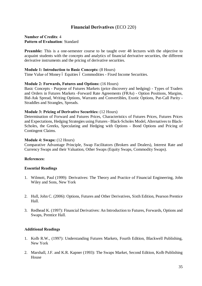## **Financial Derivatives** (ECO 220)

### **Number of Credits**: 4 **Pattern of Evaluation**: Standard

**Preamble:** This is a one-semester course to be taught over 48 lectures with the objective to acquaint students with the concepts and analytics of financial derivative securities, the different derivative instruments and the pricing of derivative securities.

#### **Module 1: Introduction to Basic Concepts:** (8 Hours)

Time Value of Money 6 Equities 6 Commodities - Fixed Income Securities.

#### **Module 2: Forwards, Futures and Options:** (16 Hours)

Basic Concepts - Purpose of Futures Markets (price discovery and hedging) - Types of Traders and Orders in Futures Markets -Forward Rate Agreements (FRAs) - Option Positions, Margins, Bid-Ask Spread, Writing Options, Warrants and Convertibles, Exotic Options, Put-Call Parity - Straddles and Strangles, Spreads.

#### **Module 3: Pricing of Derivative Securities:** (12 Hours)

Determination of Forward and Futures Prices, Characteristics of Futures Prices, Futures Prices and Expectations, Hedging Strategies using Futures - Black-Scholes Model, Alternatives to Black-Scholes, the Greeks, Speculating and Hedging with Options - Bond Options and Pricing of Contingent Claims.

#### **Module 4: Swaps:** (12 Hours)

Comparative Advantage Principle, Swap Facilitators (Brokers and Dealers), Interest Rate and Currency Swaps and their Valuation, Other Swaps (Equity Swaps, Commodity Swaps).

## **References:**

#### **Essential Readings**

- 1. Wilmott, Paul (1999): Derivatives: The Theory and Practice of Financial Engineering, John Wiley and Sons, New York
- 2. Hull, John C. (2006): Options, Futures and Other Derivatives, Sixth Edition, Pearson Prentice Hall.
- 3. Redhead K. (1997): Financial Derivatives: An Introduction to Futures, Forwards, Options and Swaps, Prentice Hall.

## **Additional Readings**

- 1. Kolb R.W., (1997): Understanding Futures Markets, Fourth Edition, Blackwell Publishing, New York
- 2. Marshall, J.F. and K.R. Kapner (1993): The Swaps Market, Second Edition, Kolb Publishing House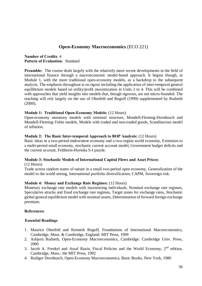## **Open-Economy Macroeconomics** (ECO 221)

**Number of Credits**: 4 **Pattern of Evaluation**: Standard

**Preamble:** The course deals largely with the relatively more recent developments in the field of international finance through a macroeconomic model-based approach. It begins though, in Module 1, with the more traditional open-economy models, as a backdrop to the subsequent analysis. The emphasis throughout is on rigour including the application of inter-temporal general equilibrium models based on utility/profit maximization in Units 2 to 4. This will be combined with approaches that yield insights into models that, though rigorous, are not micro-founded. The teaching will rely largely on the use of Obstfeld and Rogoff (1999) supplemented by Rodseth (2000).

### **Module 1: Traditional Open-Economy Models:** (12 Hours)

Open-economy monetary models with minimal structure, Mundell-Fleming-Dornbusch and Mundell-Fleming-Tobin models, Models with traded and non-traded goods, Scandinavian model of inflation.

#### **Module 2: The Basic Inter-temporal Approach to BOP Analysis:** (12 Hours)

Basic ideas in a two-period endowment economy and a two-region world economy, Extension to a multi-period small economy, stochastic current account model, Government budget deficits and the current account, Feldstein-Horioka S-I puzzle.

## **Module 3: Stochastic Models of International Capital Flows and Asset Prices:**

(12 Hours)

Trade across random states of nature in a small two-period open economy, Generalization of the model to the world setting, International portfolio diversification, CAPM, Sovereign risk.

## **Module 4: Money and Exchange Rate Regimes:** (12 Hours)

Monetary exchange rate models with maximizing individuals, Nominal exchange rate regimes, Speculative attacks and fixed exchange rate regimes, Target zones for exchange rates, Stochastic global general equilibrium model with nominal assets, Determination of forward foreign exchange premium.

## **References:**

- 1. Maurice Obstfeld and Kenneth Rogoff, Foundations of International Macroeconomics, Cambridge, Mass. & Cambridge, England: MIT Press, 1999
- 2. Asbjorn Rodseth, Open-Economy Macroeconomics, Cambridge: Cambridge Univ. Press, 2000
- 3. Jacob A. Frenkel and Assaf Razin, Fiscal Policies and the World Economy, 2nd edition, Cambridge, Mass.: the MIT Press, 1992
- 4. Rudiger Dornbusch, Open-Economy Macroeconomics, Basic Books, New York, 1980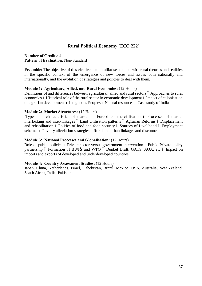## **Rural Political Economy** (ECO 222)

**Number of Credits**: 4 **Pattern of Evaluation**: Non-Standard

**Preamble:** The objective of this elective is to familiarise students with rural theories and realities in the specific context of the emergence of new forces and issues both nationally and internationally, and the evolution of strategies and policies to deal with them.

### **Module 1: Agriculture, Allied, and Rural Economics:** (12 Hours)

Definitions of and differences between agricultural, allied and rural sectors 6 Approaches to rural economics ó Historical role of the rural sector in economic development ó Impact of colonisation on agrarian development ó Indigenous Peoples ó Natural resources ó Case study of India

#### **Module 2: Market Structures:** (12 Hours)

Types and characteristics of markets ó Forced commercialisation ó Processes of market interlocking and inter-linkages 6 Land Utilisation patterns 6 Agrarian Reforms 6 Displacement and rehabilitation 6 Politics of food and food security 6 Sources of Livelihood 6 Employment schemes 6 Poverty alleviation strategies 6 Rural and urban linkages and disconnects

#### **Module 3: National Processes and Globalisation:** (12 Hours)

Role of public policies ó Private sector versus government intervention ó Public-Private policy partnership ó Formation of BWI $\alpha$  and WTO ó Dunkel Draft, GATS, AOA, etc ó Impact on imports and exports of developed and underdeveloped countries.

#### **Module 4: Country Assessment Studies:** (12 Hours)

Japan, China, Netherlands, Israel, Uzbekistan, Brazil, Mexico, USA, Australia, New Zealand, South Africa, India, Pakistan.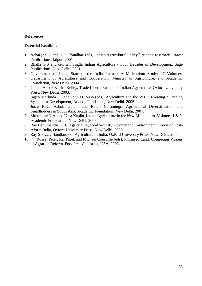- 1. Acharya S.S. and D.P. Chaudhari (eds), Indian Agricultural Policy 6 At the Crossroads, Rawat Publications, Jaipur, 2001
- 2. Bhalla G.S and Gurnail Singh, Indian Agriculture Four Decades of Development, Sage Publications, New Delhi, 2001
- 3. Government of India, State of the India Farmer: A Millennium Study: 27 Volume**s**, Department of Agriculture and Cooperation, Ministry of Agriculture, and Academic Foundation, New Delhi, 2004.
- 4. Gulati, Ashok & Tim Kelley, Trade Liberalization and Indian Agriculture, Oxford University Press, New Delhi, 2003.
- 5. Ingco Merlinda D., and John D. Nash (eds), Agriculture and the WTO: Creating a Trading System for Development, Atlantic Publishers, New Delhi, 2005.
- 6. Joshi P.K., Ashok Gulati, and Ralph Cummings, Agricultural Diversification and Smallholders in South Asia, Academic Foundation. New Delhi, 2007.
- 7. Mujumdar N.A. and Uma Kapila, Indian Agriculture in the New Millennium, Volumes 1 & 2, Academic Foundation, New Delhi, 2006
- 8. Rao Hanumantha C.H., Agriculture, Food Security, Poverty and Environment: Essays on Postreform India, Oxford University Press, New Delhi, 2006
- 9. Ray Shovan, Handbook of Agriculture in India, Oxford University Press, New Delhi, 2007
- 10. Rosset Peter, Raj Patel, and Michael Courville (eds), Promised Land: Competing Visions of Agrarian Reform, Foodfirst, California, USA, 2006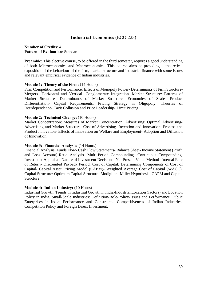## **Industrial Economics** (ECO 223)

### **Number of Credits**: 4 **Pattern of Evaluation**: Standard

**Preamble:** This elective course, to be offered in the third semester, requires a good understanding of both Microeconomics and Macroeconomics. This course aims at providing a theoretical exposition of the behaviour of the firm, market structure and industrial finance with some issues and relevant empirical evidence of Indian industries.

## **Module 1: Theory of the Firm:** (14 Hours)

Firm Competition and Performance: Effects of Monopoly Power- Determinants of Firm Structure-Mergers- Horizontal and Vertical- Conglomerate Integration. Market Structure: Patterns of Market Structure- Determinants of Market Structure- Economies of Scale- Product Differentiation- Capital Requirements. Pricing Strategy in Oligopoly: Theories of Interdependence- Tacit Collusion and Price Leadership- Limit Pricing.

### **Module 2: Technical Change:** (10 Hours)

Market Concentration: Measures of Market Concentration. Advertising: Optimal Advertising-Advertising and Market Structure- Cost of Advertising. Invention and Innovation: Process and Product Innovation- Effects of Innovation on Welfare and Employment- Adoption and Diffusion of Innovation.

#### **Module 3: Financial Analysis:** (14 Hours)

Financial Analysis: Funds Flow- Cash Flow Statements- Balance Sheet- Income Statement (Profit and Loss Account)-Ratio Analysis- Multi-Period Compounding- Continuous Compounding. Investment Appraisal: Nature of Investment Decisions- Net Present Value Method- Internal Rate of Return- Discounted Payback Period. Cost of Capital: Determining Components of Cost of Capital- Capital Asset Pricing Model (CAPM)- Weighted Average Cost of Capital (WACC). Capital Structure: Optimum Capital Structure- Modigliani-Miller Hypothesis- CAPM and Capital Structure.

#### **Module 4: Indian Industry:** (10 Hours)

Industrial Growth: Trends in Industrial Growth in India-Industrial Location (factors) and Location Policy in India. Small-Scale Industries: Definition-Role-Policy-Issues and Performance. Public Enterprises in India: Performance and Constraints. Competitiveness of Indian Industries: Competition Policy and Foreign Direct Investment.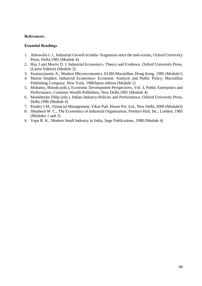- 1. Ahluwalia I. J., Industrial Growth in India- Stagnation since the mid-sixties, Oxford University Press, Delhi,1985 (Module 4)
- 2. Hay J and Morris D. J, Industrial Economics- Theory and Evidence, Oxford University Press, (Latest Edition) (Module 2)
- 3. Koutsoyiannis A., Modern Microeconomics, ELBS/Macmillan, Hong Kong, 1985 (Module1)
- 4. Martin Stephen, Industrial Economics- Economic Analysis and Public Policy, Macmillan Publishing Company, New York, 1988/latest edition (Module 1)
- 5. Mohanty, Binode,(eds.), Economic Development Perspectives, Vol. 3, Public Enterprises and Performance, Common Wealth Publishers, New Delhi,1991 (Module 4)
- 6. Mookherjee Dilip (eds.), Indian Industry-Policies and Performance, Oxford University Press, Delhi,1998 (Module 4)
- 7. Pandey I M., Financial Management, Vikas Pub. House Pvt. Ltd., New Delhi, 2000 (Module3)
- 8. Shepherd W. C., The Economics of Industrial Organization, Prentice Hall, Inc., London, 1985 (Modules 1 and 2)
- 9. Vepa R. K., Modern Small Industry in India, Sage Publications, 1988 (Module 4)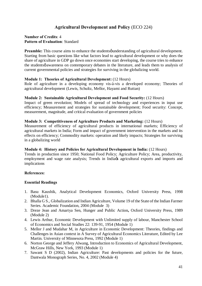# **Agricultural Development and Policy** (ECO 224)

## **Number of Credits**: 4 **Pattern of Evaluation**: Standard

**Preamble:** This course aims to enhance the students *punderstanding* of agricultural development. Starting from basic questions like what factors lead to agricultural development or why does the share of agriculture in GDP go down once economies start developing, the course tries to enhance the students  $\phi$  awareness on contemporary debates in the literature, and leads them to analysis of current governmental policies and strategies for surviving in the globalizing world.

### **Module 1: Theories of Agricultural Development:** (12 Hours)

Role of agriculture in a developing economy vis-à-vis a developed economy; Theories of agricultural development (Lewis, Schultz, Mellor, Hayami and Ruttan)

### **Module 2: Sustainable Agricultural Development and Food Security:** (12 Hours)

Impact of green revolution; Models of spread of technology and experiences in input use efficiency; Measurement and strategies for sustainable development; Food security: Concept, measurement, magnitude, and critical evaluation of government policies

### **Module 3: Competitiveness of Agriculture Products and Marketing:** (12 Hours)

Measurement of efficiency of agricultural products in international markets; Efficiency of agricultural markets in India; Form and impact of government intervention in the markets and its effects on efficiency; Commodity markets: operation and likely impacts; Strategies for surviving in a globalizing world

#### **Module 4: History and Policies for Agricultural Development in India:** (12 Hours)

Trends in production since 1950; National Food Policy; Agriculture Policy; Area, productivity, employment and wage rate analysis; Trends in India $\alpha$  agricultural exports and imports and implications

## **References:**

- 1. Basu Kaushik, Analytical Development Economics, Oxford University Press, 1998 (Module1).
- 2. Bhalla G S., Globalization and Indian Agriculture, Volume 19 of the State of the Indian Farmer Series. Academic Foundation, 2004 (Module 3)
- 3. Dreze Jean and Amartya Sen, Hunger and Public Action**,** Oxford University Press, 1989 (Module 2)
- 4. Lewis Arthur, Economic Development with Unlimited supply of labour, Manchester School of Economics and Social Studies 22: 139-91, 1954 (Module 1)
- 5. Mellor J and Mudahar M, in Agriculture in Economic Development: Theories, findings and Challenges in Asian context in A Survey of Agricultural Economics Literature, Edited by Lee Martin. University of Minnesota Press, 1992 (Module 1)
- 6. Norton George and Jeffery Alwang, Introduction to Economics of Agricultural Development, McGraw Hills, New York, 1993 (Module 1)
- 7. Sawant S D (2002), Indian Agriculture: Past developments and policies for the future, Dantwala Monograph Series, No. 4, 2002 (Module 4)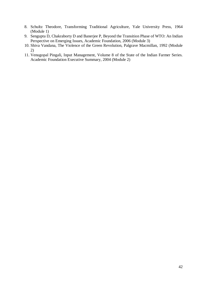- 8. Schultz Theodore, Transforming Traditional Agriculture, Yale University Press, 1964 (Module 1)
- 9. Sengupta D, Chakraborty D and Banerjee P, Beyond the Transition Phase of WTO: An Indian Perspective on Emerging Issues, Academic Foundation, 2006 (Module 3)
- 10. Shiva Vandana, The Violence of the Green Revolution, Palgrave Macmillan, 1992 (Module 2)
- 11. Venugopal Pingali, Input Management, Volume 8 of the State of the Indian Farmer Series. Academic Foundation Executive Summary, 2004 (Module 2)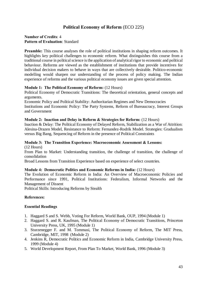# **Political Economy of Reform** (ECO 225)

## **Number of Credits**: 4 **Pattern of Evaluation**: Standard

**Preamble:** This course analyses the role of political institutions in shaping reform outcomes. It highlights key political challenges to economic reform. What distinguishes this course from a traditional course in political science is the application of analytical rigor to economic and political behaviour. Reforms are viewed as the establishment of institutions that provide incentives for individual decision makers to behave in ways that are collectively desirable. Politico-economic modelling would sharpen our understanding of the process of policy making. The Indian experience of reforms and the various political economy issues are given special attention.

### **Module 1: The Political Economy of Reform:** (12 Hours)

Political Economy of Democratic Transitions: The theoretical orientation, general concepts and arguments.

Economic Policy and Political Stability: Authoritarian Regimes and New Democracies Institutions and Economic Policy: The Party Systems, Reform of Bureaucracy, Interest Groups and Government

#### **Module 2: Inaction and Delay in Reform & Strategies for Reform:** (12 Hours)

Inaction & Delay: The Political Economy of Delayed Reform, Stabilization as a War of Attrition: Alesina-Drazen Model, Resistance to Reform: Fernandez-Rodrik Model. Strategies: Gradualism versus Big Bang, Sequencing of Reform in the presence of Political Constraints

#### **Module 3: The Transition Experience: Macroeconomic Assessment & Lessons:**  (12 Hours)

From Plan to Market: Understanding transition, the challenge of transition, the challenge of consolidation

Broad Lessons from Transition Experience based on experience of select countries.

#### **Module 4: Democratic Politics and Economic Reforms in India:** (12 Hours)

The Evolution of Economic Reform in India: An Overview of Macroeconomic Policies and Performance since 1991, Political Institutions: Federalism, Informal Networks and the Management of Dissent

Political Skills: Introducing Reforms by Stealth

## **References:**

- 1. Haggard S and S. Webb, Voting For Reform, World Bank, OUP, 1994 (Module 1)
- 2. Haggard S. and R. Kaufman, The Political Economy of Democratic Transitions, Princeton University Press, UK, 1995 (Module 1)
- 3. Sturzenegger F. and M. Tommasi, The Political Economy of Reform, The MIT Press, Cambridge, MIT, 1998 (Module 2)
- 4. Jenkins R, Democratic Politics and Economic Reform in India, Cambridge University Press, 1999 (Module 4)
- 5. World Development Report, From Plan To Market, World Bank, 1996 (Module 3)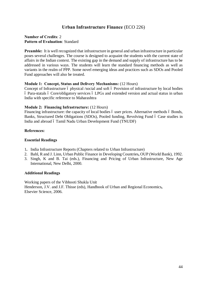## **Urban Infrastructure Finance** (ECO 226)

## **Number of Credits**: 2 **Pattern of Evaluation**: Standard

**Preamble:** It is well recognized that infrastructure in general and urban infrastructure in particular poses several challenges. The course is designed to acquaint the students with the current state of affairs in the Indian context. The existing gap in the demand and supply of infrastructure has to be addressed in various ways. The students will learn the standard financing methods as well as variants in the realm of PPP. Some novel emerging ideas and practices such as SDOs and Pooled Fund approaches will also be treated.

### **Module 1: Concept, Status and Delivery Mechanisms:** (12 Hours)

Concept of Infrastructure 6 physical /social and soft 6 Provision of infrastructure by local bodies – Para-statals – Core/obligatory services – LPGs and extended version and actual status in urban India with specific reference to Maharashtra

### **Module 2: Financing Infrastructure:** (12 Hours)

Financing infrastructure: the capacity of local bodies 6 user prices. Alternative methods 6 Bonds, Banks, Structured Debt Obligations (SDOs), Pooled funding, Revolving Fund 6 Case studies in India and abroad 6 Tamil Nadu Urban Development Fund (TNUDF)

### **References:**

## **Essential Readings**

- 1**.** India Infrastructure Reports (Chapters related to Urban Infrastructure)
- 2. Bahl, R and J. Linn, Urban Public Finance in Developing Countries**,** OUP (World Bank), 1992.
- 3. Singh, K and B. Tai (eds.), Financing and Pricing of Urban Infrastructure, New Age International, New Delhi, 2000.

#### **Additional Readings**

Working papers of the Vibhooti Shukla Unit Henderson, J.V. and J.F. Thisse (eds), Handbook of Urban and Regional Economics**,**  Elsevier Science, 2006.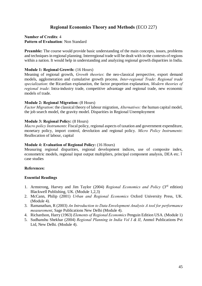# **Regional Economics Theory and Methods** (ECO 227)

### **Number of Credits**: 4 **Pattern of Evaluation**: Non Standard

**Preamble:** The course would provide basic understanding of the main concepts, issues, problems and techniques in regional planning. Interregional trade will be dealt with in the contexts of regions within a nation. It would help in understanding and analyzing regional growth disparities in India.

### **Module 1: Regional Growth:** (16 Hours)

Meaning of regional growth, *Growth theories*: the neo-classical perspective, export demand models, agglomeration and cumulative growth process. *Inter-regional Trade*: *Regional trade specialization*: the Ricardian explanation, the factor proportion explanation, *Modern theories of regional trade*: Intra-industry trade, competitive advantage and regional trade, new economic models of trade.

#### **Module 2: Regional Migration:** (8 Hours)

*Factor Migration*: the classical theory of labour migration, *Alternatives:* the human capital model, the job search model, the gravity model. Disparities in Regional Unemployment

### **Module 3: Regional Policy:** (8 Hours)

*Macro policy Instruments*: Fiscal policy, regional aspects of taxation and government expenditure, monetary policy, import control, devolution and regional policy. *Micro Policy Instruments*: Reallocation of labour, capital

#### **Module 4: Evaluation of Regional Policy:** (16 Hours)

Measuring regional disparities, regional development indices, use of composite index, econometric models, regional input output multipliers, principal component analysis, DEA etc. 6 case studies

#### **References:**

- 1. Armstrong, Harvey and Jim Taylor (2004) *Regional Economics and Policy* (3rd edition) Blackwell Publishing, UK. (Module 1,2,3)
- 2. McCann, Philip (2001) *Urban and Regional Economics* Oxford University Press, UK. (Module 4).
- 3. Ramanathan, R (2003) *An Introduction to Data Envelopment Analysis A tool for performance measurement*, Sage Publications New Delhi (Module 4).
- 4. Richardson, Harry (1963) *Elements of Regional Economics* Penguin Edition USA. (Module 1)
- 5. Sudhanshu Shekhar (2004) *Regional Planning in India Vol I & II*, Anmol Publications Pvt Ltd, New Delhi. (Module 4).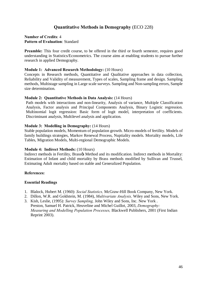# **Quantitative Methods in Demography** (ECO 228)

### **Number of Credits**: 4 **Pattern of Evaluation**: Standard

**Preamble:** This four credit course, to be offered in the third or fourth semester, requires good understanding in Statistics/Econometrics. The course aims at enabling students to pursue further research in applied Demography.

#### **Module 1: Advanced Research Methodology:** (10 Hours)

Concepts in Research methods, Quantitative and Qualitative approaches in data collection, Reliability and Validity of measurement, Types of scales, Sampling frame and design. Sampling methods, Multistage sampling in Large scale surveys. Sampling and Non-sampling errors, Sample size determination.

#### **Module 2: Quantitative Methods in Data Analysis:** (14 Hours)

Path models with interactions and non-linearity, Analysis of variance, Multiple Classification Analysis, Factor analysis and Principal Components Analysis, Binary Logistic regression. Multinomial logit regression: Basic form of logit model, interpretation of coefficients. Discriminant analysis, Multilevel analysis and application.

#### **Module 3: Modelling in Demography:** (14 Hours)

Stable population models, Momentum of population growth. Micro-models of fertility. Models of family buildings strategies, Markov Renewal Process, Nuptiality models. Mortality models, Life Tables, Migration Models, Multi-regional Demographic Models.

#### **Module 4: Indirect Methods:** (10 Hours)

Indirect methods in Fertility, Brass $\alpha$  Method and its modification. Indirect methods in Mortality: Estimation of Infant and child mortality by Brass methods modified by Sullivan and Trussel, Estimating Adult mortality based on stable and Generalized Population.

#### **References:**

- 1. Blalock, Hubert M. (1960): *Social Statistics,* McGraw-Hill Book Company, New York.
- 2. Dillon, W.R. and Goldstein, M. (1984), *Multivariate Analysis,* Wiley and Sons, New York.
- 3. Kish, Leslie, (1995): *Survey Sampling,* John Wiley and Sons, Inc. New York . Preston, Samuel H. Patrick, Heuveline and Michel Guillot, 2003, *Demography: Measuring and Modelling Population Processes,* Blackwell Publishers, 2001 (First Indian Reprint 2003).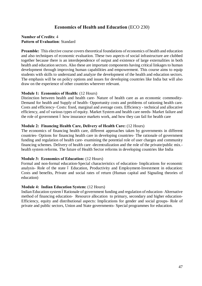# **Economics of Health and Education** (ECO 230)

## **Number of Credits**: 4 **Pattern of Evaluation**: Standard

**Preamble:** This elective course covers theoretical foundations of economics of health and education and also techniques of economic evaluation. These two aspects of social infrastructure are clubbed together because there is an interdependence of output and existence of large externalities in both health and education sectors. Also these are important components having critical linkages to human development through improving human capabilities and empowerment. This course aims to equip students with skills to understand and analyze the development of the health and education sectors. The emphasis will be on policy options and issues for developing countries like India but will also draw on the experience of other countries wherever relevant.

## **Module 1: Economics of Health:** (12 Hours)

Distinction between health and health care- Nature of health care as an economic commodity-Demand for health and Supply of health- Opportunity costs and problems of rationing health care. Costs and efficiency- Costs: fixed, marginal and average costs. Efficiency - technical and allocative efficiency, and of various types of equity. Market System and health care needs- Market failure and the role of government 6 how insurance markets work, and how they can fail for health care

### **Module 2: Financing Health Care, Delivery of Health Care:** (12 Hours)

The economics of financing health care, different approaches taken by governments in different countries- Options for financing health care in developing countries- The rationale of government funding and regulation of health care- examining the potential role of user charges and community financing schemes. Delivery of health care -decentralization and the role of the private/public mix. health system reforms. The future of Health Sector reforms in developing countries like India

## **Module 3: Economics of Education:** (12 Hours)

Formal and non-formal education-Special characteristics of education- Implications for economic analysis- Role of the state 6 Education, Productivity and Employment-Investment in education: Costs and benefits, Private and social rates of return (Human capital and Signaling theories of education)

#### **Module 4: Indian Education System:** (12 Hours)

Indian Education system óRationale of government funding and regulation of education-Alternative method of financing education- Resource allocation to primary, secondary and higher education-Efficiency, equity and distributional aspects: Implications for gender and social groups- Role of private and public sectors, Union and State governments- Special programmes for education.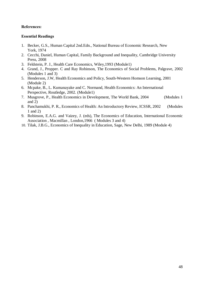- 1. Becker, G.S., Human Capital 2nd.Edn., National Bureau of Economic Research, New York, 1974
- 2. Cecchi, Daniel, Human Capital, Family Background and Inequality, Cambridge University Press, 2008
- 3. Feldstein, P. J., Health Care Economics, Wiley,1993 (Module1)
- 4. Grand, J., Propper. C and Ray Robinson, The Economics of Social Problems, Palgrave, 2002 (Modules 1 and 3)
- 5. Henderson, J.W, Health Economics and Policy, South-Western Homson Learning, 2001 (Module 2)
- 6. Mcpake, B., L. Kumanayake and C. Normand, Health Economics: An International Perspective, Routledge, 2002. (Module1)
- 7. Musgrove, P., Health Economics in Development, The World Bank, 2004 (Modules 1 and 2)
- 8. Panchamukhi, P. R., Economics of Health: An Introductory Review, ICSSR, 2002 (Modules 1 and 2)
- 9. Robinson, E.A.G. and Vaizey, J. (eds), The Economics of Education, International Economic Association , Macmillan , London,1966 ( Modules 3 and 4)
- 10. Tilak, J.B.G., Economics of Inequality in Education, Sage, New Delhi, 1989 (Module 4)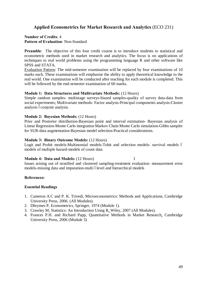## **Applied Econometrics for Market Research and Analytics** (ECO 231)

## **Number of Credits**: 4 **Pattern of Evaluation**: Non-Standard

**Preamble:** The objective of this four credit course is to introduce students to statistical and econometric methods used in market research and analytics. The focus is on applications of techniques to real world problems using the programming language R and other software like SPSS and STATA.

Evaluation Pattern: The mid-semester examination will be replaced by four examinations of 10 marks each. These examinations will emphasise the ability to apply theoretical knowledge to the real world. One examination will be conducted after teaching for each module is completed. This will be followed by the end-semester examination of 60 marks.

### **Module 1: Data Structures and Multivariate Methods:** (12 Hours)

Simple random samples- multistage surveys-biased samples-quality of survey data-data from social experiments; Multivariate methods- Factor analysis-Principal components analysis-Cluster analysis óconjoint analysis.

### **Module 2: Bayesian Methods:** (12 Hours)

Prior and Posterior distribution-Bayesian point and interval estimation- Bayesian analysis of Linear Regression-Monte Carlo integration Markov Chain Monte Carlo simulation-Gibbs sampler for SUR-data augmentation-Bayesian model selection-Practical considerations.

### **Module 3: Binary Outcome Models:** (12 Hours)

Logit and Probit models-Multinomial models-Tobit and selection models- survival models – models of multiple hazard-models of count data

#### **Module 4: Data and Models:** (12 Hours) I

Issues arising out of stratified and clustered sampling-treatment evaluation- measurement error models-missing data and imputation-multi ólevel and hierarchical models

## **References:**

- 1. Cameron A.C and P. K. Trivedi, Microeconometrics: Methods and Applications, Cambridge University Press, 2006. (All Modules).
- 2. Dhrymes P, Econometrics, Springer, 1974 (Module 1).
- 3. Crawley M, Statistics: An Introduction Using R, Wiley, 2007 (All Modules).
- 4. Frances P.H. and Richard Papp, Quantitative Methods in Market Research, Cambridge University Press, 2006 (Module 3)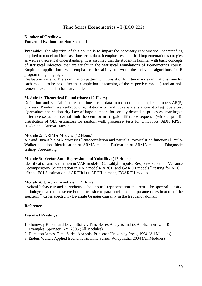## **Time Series Econometrics – I** (ECO 232)

### **Number of Credits**: 4 **Pattern of Evaluation**: Non-Standard

**Preamble:** The objective of this course is to impart the necessary econometric understanding required to model and forecast time series data. It emphasises empirical implementation strategies as well as theoretical understanding. It is assumed that the student is familiar with basic concepts of statistical inference that are taught in the Statistical Foundations of Econometrics course. Empirical applications will emphasise the ability to write the relevant algorithms in R programming language.

Evaluation Pattern: The examination pattern will consist of four ten mark examinations (one for each module to be held after the completion of teaching of the respective module) and an endsemester examination for sixty marks.

#### **Module 1: Theoretical Foundations:** (12 Hours)

Definition and special features of time series data-Introduction to complex numbers-AR(P) process- Random walks-Ergodicity, stationarity and covariance stationarity-Lag operators, eigenvalues and stationarity-Law of large numbers for serially dependent processes- martingale difference sequence- central limit theorem for martingale difference sequence (without proof) distribution of OLS estimators for random walk processes- tests for Unit roots: ADF, KPSS, HEGY and Canova-Hansen

#### **Module 2: ARIMA Models:** (12 Hours)

AR and Invertible MA processes óautocorrelation and partial autocorrelation functions ó Yule-Walker equation- Identification of ARMA models- Estimation of ARMA models ó Diagnostic testing- Forecasting

#### **Module 3: Vector Auto Regression and Volatility:** (12 Hours)

Identification and Estimation in VAR models - Causalityó Impulse Response Function- Variance Decomposition-Cointegration in VAR models- ARCH and GARCH models 6 testing for ARCH effects- FGLS estimation of ARCH(1) ó ARCH in mean, EGARCH models

#### **Module 4: Spectral Analysis:** (12 Hours)

Cyclical behaviour and periodicity- The spectral representation theorem- The spectral density-Periodogram and the discrete Fourier transform- parametric and non-parametric estimation of the spectrum 6 Cross spectrum - Bivariate Granger causality in the frequency domain

#### **References:**

- 1. Shumway Robert and David Stoffer, Time Series Analysis and its Applications with R Examples, Springer, NY, 2006 (All Modules)
- 2. Hamilton James, Time Series Analysis, Princeton University Press, 1994 (All Modules)
- 3. Enders Walter, Applied Econometric Time Series, Wiley India, 2004 (All Modules)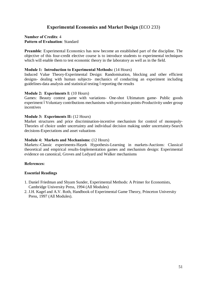# **Experimental Economics and Market Design** (ECO 233)

## **Number of Credits**: 4 **Pattern of Evaluation**: Standard

**Preamble**: Experimental Economics has now become an established part of the discipline. The objective of this four-credit elective course is to introduce students to experimental techniques which will enable them to test economic theory in the laboratory as well as in the field.

### **Module 1: Introduction to Experimental Methods:** (14 Hours)

Induced Value Theory-Experimental Design: Randomisation, blocking and other efficient designs- dealing with human subjects- mechanics of conducting an experiment including guidelines-data analysis and statistical testing óreporting the results

### **Module 2: Experiments I:** (10 Hours)

Games: Beauty contest game with variations- One-shot Ultimatum game- Public goods experiment 6Voluntary contributions mechanisms with provision points-Productivity under group incentives

### **Module 3: Experiments II:** (12 Hours)

Market structures and price discrimination-incentive mechanism for control of monopoly-Theories of choice under uncertainty and individual decision making under uncertainty-Search decisions-Expectations and asset valuations

### **Module 4: Markets and Mechanisms:** (12 Hours)

Markets:-Classic experiments-Hayek Hypothesis-Learning in markets-Auctions: Classical theoretical and empirical results-Implementation games and mechanism design: Experimental evidence on canonical, Groves and Ledyard and Walker mechanisms

#### **References:**

- 1. Daniel Friedman and Shyam Sunder, Experimental Methods: A Primer for Economists, Cambridge University Press, 1994 (All Modules)
- 2. J.H. Kagel and A.V. Roth, Handbook of Experimental Game Theory, Princeton University Press, 1997 (All Modules).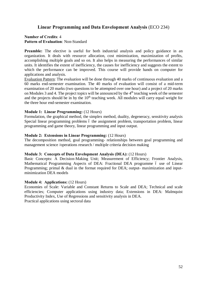## **Linear Programming and Data Envelopment Analysis** (ECO 234)

## **Number of Credits**: 4 **Pattern of Evaluation**: Non-Standard

**Preamble:** The elective is useful for both industrial analysis and policy guidance in an organization. It deals with resource allocation, cost minimization, maximization of profits, accomplishing multiple goals and so on. It also helps in measuring the performances of similar units. It identifies the extent of inefficiency, the causes for inefficiency and suggests the extent to which the performance can be improved. This course will provide hands on computer for applications and analysis.

Evaluation Pattern: The evaluation will be done through 40 marks of continuous evaluation and a 60 marks end-semester examination. The 40 marks of evaluation will consist of a mid-term examination of 20 marks (two questions to be attempted over one hour) and a project of 20 marks on Modules 3 and 4. The project topics will be announced by the  $4<sup>th</sup>$  teaching week of the semester and the projects should be in by the  $10<sup>th</sup>$  teaching week. All modules will carry equal weight for the three hour end-semester examination.

### **Module 1: Linear Programming:** (12 Hours)

Formulation, the graphical method, the simplex method, duality, degeneracy, sensitivity analysis Special linear programming problems 6 the assignment problem, transportation problem, linear programming and game theory, linear programming and input output.

### **Module 2: Extensions in Linear Programming:** (12 Hours)

The decomposition method, goal programming- relationships between goal programming and management science /operations research / multiple criteria decision making

#### **Module 3: Concepts of Data Envelopment Analysis (DEA):** (12 Hours)

Basic Concepts: A Decision-Making Unit; Measurement of Efficiency; Frontier Analysis, Mathematical Programming Aspects of DEA: Fractional DEA programme 6 use of Linear Programming; primal & dual in the format required for DEA; output- maximization and inputminimization DEA models

#### **Module 4: Applications:** (12 Hours)

Economies of Scale: Variable and Constant Returns to Scale and DEA; Technical and scale efficiencies; Computer applications using industry data; Extensions in DEA: Malmquist Productivity Index, Use of Regressions and sensitivity analysis in DEA. Practical applications using sectoral data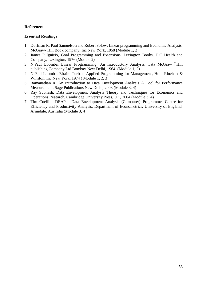- 1. Dorfman R, Paul Samuelson and Robert Solow, Linear programming and Economic Analysis, McGraw- Hill Book company, Inc New York, 1958 (Module 1, 2)
- 2. James P Ignizio, Goal Programming and Extensions, Lexington Books, D.C Health and Company, Lexington, 1976 (Module 2)
- 3. N.Paul Loomba, Linear Programming: An Introductory Analysis, Tata McGraw óHill publishing Company Ltd Bombay-New Delhi, 1964 (Module 1, 2)
- 4. N.Paul Loomba, Efraim Turban, Applied Programming for Management, Holt, Rinehart & Winston, Inc.New York, 1974 ( Module 1, 2, 3)
- 5. Ramanathan R, An Introduction to Data Envelopment Analysis A Tool for Performance Measurement, Sage Publications New Delhi, 2003 (Module 3, 4)
- 6. Ray Subhash, Data Envelopment Analysis Theory and Techniques for Economics and Operations Research, Cambridge University Press, UK, 2004 (Module 3, 4)
- 7. Tim Coelli **-** DEAP Data Envelopment Analysis (Computer) Programme, Centre for Efficiency and Productivity Analysis, Department of Econometrics, University of England, Armidale, Australia (Module 3, 4)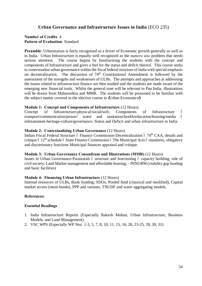## **Urban Governance and Infrastructure Issues in India** (ECO 235)

## **Number of Credits**: 4 **Pattern of Evaluation**: Standard

**Preamble**: Urbanization is fairly recognized as a driver of Economic growth generally as well as in India. Urban Infrastructure is equally well recognized as the *numero uno* problem that needs serious attention. The course begins by familiarizing the students with the concept and components of Infrastructure and gives a feel for the status and deficit thereof. This course seeks to contextualize urban governance within the fiscal federal structure of India with special emphasis on decentralization. The discussion of 74<sup>th</sup> Constitutional Amendment is followed by the assessment of the strengths and weaknesses of ULBs. The attempts and approaches at addressing the issues related to infrastructure finance are then studied and the students are made aware of the emerging new financial tools. Whilst the general tone will be relevant to Pan India, illustrations will be drawn from Maharashtra and MMR. The students will be presumed to be familiar with the subject matter covered in the elective course in -Urban Economicsø.

### **Module 1: Concept and Components of Infrastructure** (12 Hours)

Concept of Infrastructure-physical/social/soft; Components of Infrastructure – transport/communication/power/ water and sanitation/health/education/housing/media – infotainment-heritage-culture/governance; Status and Deficit and urban infrastructure in India.

### **Module 2: Contextualizing Urban Governance** (12 Hours)

Indian Fiscal Federal Structure 6 Finance Commission-Decentralization 6 74<sup>th</sup> CAA, details and critique  $\acute{o}$  12<sup>th</sup> schedule  $\acute{o}$  State Finance Commission  $\acute{o}$  The Municipal Acts  $\acute{o}$  mandates, obligatory and discretionary functions Municipal finances appraisal and critique.

#### **Module 3: Urban Governance Conundrum and Illustrations (MMR)** (12 Hours)

Issues in Urban Governance-Parastatals 6 structure and functioning 6 capacity building, role of civil society; Land Market management and affordable housing; - JNNURM (viability gap funding and basic facilities)

## **Module 4: Financing Urban Infrastructure** (12 Hours)

Internal resources of ULBs, Bank funding; SDOs, Pooled fund (classical and modified), Capital market access (muni-bonds), PPP and variants, TNUDF and water aggregating models.

## **References:**

- 1. India Infrastructure Reports (Especially Rakesh Mohan, Urban Infrastructure, Business Models, and Land Management).
- 2. VSC WPS (Especially WP Nos. 1-3, 5, 7, 8, 10, 11, 15, 16, 20, 23-25, 28, 30, 31).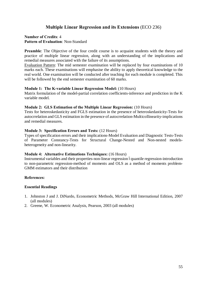# **Multiple Linear Regression and its Extensions** (ECO 236)

## **Number of Credits**: 4 **Pattern of Evaluation**: Non-Standard

**Preamble:** The Objective of the four credit course is to acquaint students with the theory and practice of multiple linear regression, along with an understanding of the implications and remedial measures associated with the failure of its assumptions.

Evaluation Pattern: The mid semester examination will be replaced by four examinations of 10 marks each. These examinations will emphasise the ability to apply theoretical knowledge to the real world. One examination will be conducted after teaching for each module is completed. This will be followed by the end semester examination of 60 marks.

### **Module 1: The K-variable Linear Regression Model:** (10 Hours)

Matrix formulation of the model-partial correlation coefficients-inference and prediction in the K variable model.

### **Module 2: GLS Estimation of the Multiple Linear Regression:** (10 Hours)

Tests for heteroskedasticity and FGLS estimation in the presence of heteroskedasticity-Tests for autocrrelation and GLS estimation in the presence of autocrrelation-Multicollinearity-implications and remedial measures.

### **Module 3: Specification Errors and Tests:** (12 Hours)

Types of specification errors and their implications-Model Evaluation and Diagnostic Tests-Tests of Parameter Constancy-Tests for Structural Change-Nested and Non-nested modelsheterogeneity and non-linearity.

#### **Module 4: Alternative Estimations Techniques:** (16 Hours)

Instrumental variables and their properties-non-linear regression óquantile regression-introduction to non-parametric regression-method of moments and OLS as a method of moments problem-GMM estimators and their distribution

## **References:**

- 1. Johnston J and J. DiNardo, Econometric Methods, McGraw Hill International Edition, 2007 (all modules)
- 2. Greene, W. Econometric Analysis, Pearson, 2003 (all modules)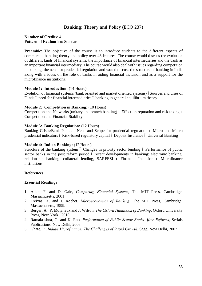## **Banking: Theory and Policy** (ECO 237)

### **Number of Credits**: 4 **Pattern of Evaluation**: Standard

**Preamble:** The objective of the course is to introduce students to the different aspects of commercial banking theory and policy over 48 lectures. The course would discuss the evolution of different kinds of financial systems, the importance of financial intermediaries and the bank as an important financial intermediary. The course would also deal with issues regarding competition in banking, the need for prudential regulation and would discuss the structure of banking in India along with a focus on the role of banks in aiding financial inclusion and as a support for the microfinance institutions*.*

#### **Module 1: Introduction:** (14 Hours)

Evolution of financial systems (bank oriented and market oriented systems) óSources and Uses of Funds 6 need for financial intermediaries 6 banking in general equilibrium theory

#### **Module 2: Competition in Banking:** (10 Hours)

Competition and Networks (unitary and branch banking) 6 Effect on reputation and risk taking 6 Competition and Financial Stability

#### **Module 3: Banking Regulation:** (12 Hours)

Banking Crises/Bank Panics - Need and Scope for prudential regulation 6 Micro and Macro prudential indicators ó Risk-based regulatory capital ó Deposit Insurance ó Universal Banking

#### **Module 4: Indian Banking:** (12 Hours)

Structure of the banking system 6 Changes in priority sector lending 6 Performance of public sector banks in the post reform period 6 recent developments in banking: electronic banking, relationship banking: collateral lending, SARFESI 6 Financial Inclusion 6 Microfinance institutions

#### **References:**

- 1. Allen, F. and D. Gale, *Comparing Financial Systems*, The MIT Press, Cambridge, Massachusetts, 2001
- 2. Freixas, X. and J. Rochet, *Microeconomics of Banking*, The MIT Press, Cambridge, Massachusetts, 1999.
- 3. Berger, A., P. Molyneux and J. Wilson, *The Oxford Handbook of Banking*, Oxford University Press, New York., 2010
- 4. Ramakrishna, G. and K. Rao, *Performance of Public Sector Banks After Reforms*, Serials Publications, New Delhi, 2008
- 5. Ghate, P., *Indian Microfinance: The Challenges of Rapid Growth*, Sage, New Delhi, 2007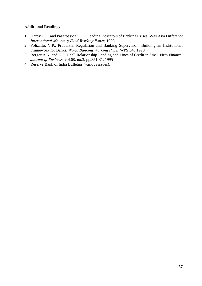## **Additional Readings**

- 1. Hardy D.C. and Pazarbasioglu, C., Leading Indicators of Banking Crises: Was Asia Different? *International Monetary Fund Working Paper*, 1998
- 2. Polizatto, V.P., Prudential Regulation and Banking Supervision: Building an Institutional Framework for Banks, *World Banking Working Paper* WPS 340,1990
- 3. Berger A.N. and G.F. Udell Relationship Lending and Lines of Credit in Small Firm Finance, *Journal of Business*, vol.68, no.3, pp.351-81, 1995
- 4. Reserve Bank of India Bulletins (various issues).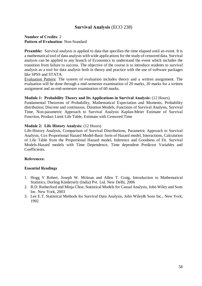## **Survival Analysis** (ECO 238)

## **Number of Credits**: 2 **Pattern of Evaluation**: Non-Standard

**Preamble:** Survival analysis is applied to data that specifies the time elapsed until an event. It is a mathematical tool of data analysis with wide applications for the study of censored data. Survival analysis can be applied to any branch of Economics to understand the event which includes the transition from failure to success. The objective of the course is to introduce students to survival analysis as a tool for data analysis both in theory and practice with the use of software packages like SPSS and STATA.

Evaluation Pattern: The system of evaluation includes theory and a written assignment. The evaluation will be done through a mid-semester examination of 20 marks, 20 marks for a written assignment and an end-semester examination of 60 marks.

### **Module 1: Probability Theory and Its Applications in Survival Analysis:** (12 Hours)

Fundamental Theorems of Probability, Mathematical Expectation and Moments, Probability distribution; Discrete and continuous, Duration Models, Functions of Survival Analysis, Survival Time, Non-parametric Approach to Survival Analysis Kaplan-Meier Estimate of Survival Function, Product Limit Life Table, Estimate with Censored Time

## **Module 2: Life History Analysis:** (12 Hours)

Life-History Analysis, Comparison of Survival Distributions, Parametric Approach to Survival Analysis, Cox Proportional Hazard Model-Basic form of Hazard model, Interactions, Calculation of Life Table from the Proportional Hazard model, Inference and Goodness of Fit. Survival Models-Hazard models with Time Dependence, Time dependent Predictor Variables and Coefficients.

## **References:**

- 1. Hogg V Robert, Joseph W. Mckean and Allen T. Craig, Introduction to Mathematical Statistics, Dorling Kindersely (India) Pvt. Ltd. New Delhi, 2006
- 2. R.D. Rutherford and Minja Choe, Statistical Models for Causal Analysis, John Wiley and Sons Inc. New York, 2003
- 3. Lee E.T, Statistical Methods for Survival Data Analysis, John Wiley& Sons Inc., New York, 1992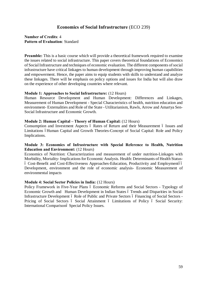## **Economics of Social Infrastructure** (ECO 239)

## **Number of Credits**: 4 **Pattern of Evaluation**: Standard

**Preamble:** This is a basic course which will provide a theoretical framework required to examine the issues related to social infrastructure. This paper covers theoretical foundations of Economics of Social Infrastructure and techniques of economic evaluation. The different components of social infrastructure have critical linkages to human development through improving human capabilities and empowerment. Hence, the paper aims to equip students with skills to understand and analyze these linkages. There will be emphasis on policy options and issues for India but will also draw on the experience of other developing countries where relevant.

### **Module 1: Approaches to Social Infrastructure:** (12 Hours)

Human Resource Development and Human Development: Differences and Linkages, Measurement of Human Development - Special Characteristics of health, nutrition education and environment- Externalities and Role of the State - Utilitarianism, Rawls, Arrow and Amartya Sen-Social Infrastructure and Economic Growth.

### **Module 2: Human Capital – Theory of Human Capital:** (12 Hours)

Consumption and Investment Aspects ó Rates of Return and their Measurement ó Issues and Limitations 6Human Capital and Growth Theories-Concept of Social Capital: Role and Policy Implications.

### **Module 3: Economics of Infrastructure with Special Reference to Health, Nutrition Education and Environment:** (12 Hours)

Economics of Nutrition: Characterization and measurement of under nutrition-Linkages with Morbidity, Mortality- Implications for Economic Analysis. Health: Determinants of Health Status- – Cost-Benefit and Cost-Effectiveness Approaches-Education, Productivity and Employment–– Development, environment and the role of economic analysis- Economic Measurement of environmental impacts

#### **Module 4: Social Sector Policies in India:** (12 Hours)

Policy Framework in Five-Year Plans 6 Economic Reforms and Social Sectors - Typology of Economic Growth and Human Development in Indian States ó Trends and Disparities in Social Infrastructure Development 6 Role of Public and Private Sectors 6 Financing of Social Sectors -Pricing of Social Sectors 6 Social Attainment 6 Limitations of Policy 6 Social Security: International Comparisonó Special Policy Issues.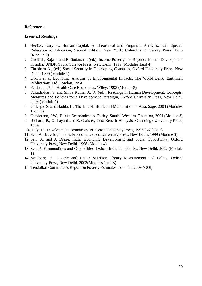- 1. Becker, Gary S., Human Capital: A Theoretical and Empirical Analysis, with Special Reference to Education, Second Edition, New York: Columbia University Press, 1975 (Module 2)
- 2. Chelliah, Raja J. and R. Sudarshan (ed.), Income Poverty and Beyond: Human Development in India, UNDP, Social Science Press, New Delhi, 1999 (Modules 1and 4)
- 3. Ehtisham A., (ed.) Social Security in Developing Countries, Oxford University Press, New Delhi, 1999 (Module 4)
- 4. Dixon et al, Economic Analysis of Environmental Impacts, The World Bank. Earthscan Publications Ltd, London, 1994
- 5. Feldstein, P. J., Health Care Economics, Wiley, 1993 (Module 3)
- 6. Fukuda-Parr S. and Shiva Kumar A. K. (ed.), Readings in Human Development: Concepts, Measures and Policies for a Development Paradigm, Oxford University Press, New Delhi, 2003 (Module 1)
- 7. Gillespie S. and Hadda, L., The Double Burden of Malnutrition in Asia, Sage, 2003 (Modules 1 and 3)
- 8. Henderson, J.W., Health Economics and Policy, South 6Western, Thomson, 2001 (Module 3)
- 9. Richard, P., G. Layard and S. Glaister, Cost Benefit Analysis, Cambridge University Press, 1994
- 10. Ray, D., Development Economics, Princeton University Press, 1997 (Module 2)
- 11. Sen, A., Development as Freedom, Oxford University Press, New Delhi, 1999 (Module 3)
- 12. Sen, A. and J. Dreze, India: Economic Development and Social Opportunity, Oxford University Press, New Delhi, 1998 (Module 4)
- 13. Sen, A. Commodities and Capabilities, Oxford India Paperbacks, New Delhi, 2002 (Module 1)
- 14. Svedberg, P., Poverty and Under Nutrition Theory Measurement and Policy, Oxford University Press, New Delhi, 2002(Modules 1and 3)
- 15. Tendulkar Committee's Report on Poverty Estimates for India, 2009.(GOI)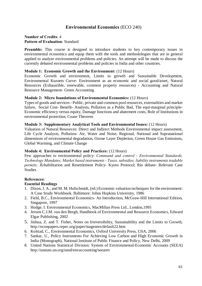## **Environmental Economics** (ECO 240)

### **Number of Credits**: 4 **Pattern of Evaluation**: Standard

**Preamble:** This course is designed to introduce students to key contemporary issues in environmental economics and equip them with the tools and methodologies that are in general applied to analyze environmental problems and policies. An attempt will be made to discuss the currently debated environmental problems and policies in India and other countries.

#### **Module 1: Economic Growth and the Environment:** (12 Hours)

Economic Growth and environment, Limits to growth and Sustainable Development, Environmental Kuznets Curve- Environment as an economic and social good/asset, Natural Resources (Exhaustible, renewable, common property resources) - Accounting and Natural Resource Management- Green Accounting

#### **Module 2: Micro foundations of Environmental Economics:** (12 Hours)

Types of goods and services - Public, private and common pool resources, externalities and market failure, Social Cost- Benefit- Analysis, Pollution as a Public Bad, The equi-marginal principle-Economic efficiency versus equity, Damage functions and abatement costs, Role of Institutions in environmental protection, Coase Theorem

#### **Module 3: Supplementary Analytical Tools and Environmental Issues:** (12 Hours)

Valuation of Natural Resources: Direct and Indirect Methods Environmental impact assessment, Life Cycle Analysis, Pollution- Air, Water and Noise; Regional, National and Supranational dimensions of environmental degradation, Ozone Layer Depletion, Green House Gas Emissions, Global Warming, and Climate Change

## **Module 4: Environmental Policy and Practices:** (12 Hours)

Few approaches to environmental policy: *Command and control - Environmental Standards, Technology Mandates; Market based instruments - Taxes, subsidies, liability instruments tradable permits; Re*habilitation and Resettlement Policy- Kyoto Protocol; Rio debate- Relevant Case **Studies** 

## **References:**

- 1. Dixon, J. A., and M. M. Hufschmidt, (ed.) Economic valuation techniques for the environment: A Case Study Workbook. Baltimore: Johns Hopkins University, 1986
- 2. Field, B.C., Environmental Economics- An Introduction, McGraw-Hill International Edition, Singapore, 1997
- 3. Hodge, I. Environmental Economics, MacMillan Press Ltd., London,1995
- 4. Jeroen C.J.M. van den Bergh, Handbook of Environmental and Resource Economics, Edward Elgar Publishing, 2002
- 5. Jinhua, Z. and T. Fisher, Notes on Irreversibility, Sustainability and the Limits to Growth, <http://econpapers.repec.org/paper/isugenres/default22.htm>
- 6. Kolstad, C., Environmental Economics, Oxford University Press, USA, 2006
- 7. Sankar, U., Policy Instruments For Achieving Low Carbon and High Economic Growth in India (Monograph), National Institute of Public Finance and Policy, New Delhi, 2009
- 8. United Nations Statistical Division: System of Environmental-Economic Accounts (SEEA) <http://unstats.un.org/unsd/envaccounting/seearev>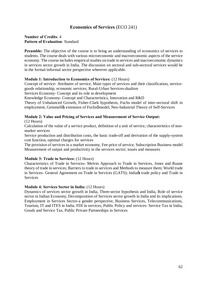# **Economics of Services** (ECO 241)

## **Number of Credits**: 4 **Pattern of Evaluation**: Standard

**Preamble:** The objective of the course is to bring an understanding of economics of services to students. The course deals with various microeconomic and macroeconomic aspects of the service economy. The course includes empirical studies on trade in services and macroeconomic dynamics in services sector growth in India. The discussion on sectoral and sub-sectoral services would be in the formal-informal sector perspective wherever applicable.

### **Module 1: Introduction to Economics of Services:** (12 Hours)

Concept of service- Attributes of service, Main types of services and their classification, servicegoods relationship, economic services; Rural-Urban Services-dualism

Services Economy- Concept and its role in development

Knowledge Economy- Concept and Characteristics, Innovation and R&D

Theory of Unbalanced Growth, Fisher-Clark hypothesis, Fuchs model of inter-sectoral shift in employment, Gemmelløs extension of Fuchsø model, Neo-Industrial Theory of Self-Services

### **Module 2: Value and Pricing of Services and Measurement of Service Output:**

(12 Hours)

Calculation of the value of a service product, definition of a unit of service, characteristics of nonmarket services

Service production and distribution costs, the basic trade-off and derivation of the supply-system cost function, optimal charges for services

The provision of services in a market economy, Fee-price of service, Subscription Business model Measurement of output and productivity in the services sector; issues and measures

## **Module 3: Trade in Services:** (12 Hours)

Characteristics of Trade in Services- Melvin Approach to Trade in Services, Jones and Ruane theory of trade in services; Barriers to trade in services and Methods to measure them; World trade in Services- General Agreement on Trade in Services (GATS); India $\alpha$  trade policy and Trade in **Services** 

#### **Module 4: Services Sector in India:** (12 Hours)

Dynamics of services sector growth in India, Three-sector hypothesis and India, Role of service sector in Indian Economy, Decomposition of Services sector growth in India and its implications. Employment in Services Sector-a gender perspective, Business Services, Telecommunications, Tourism, IT and ITES in India. FDI in services, Public Policy and services- Service Tax in India, Goods and Service Tax, Public Private Partnerships in Services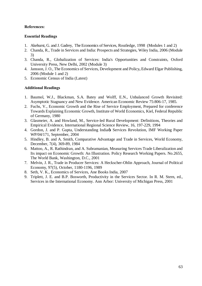## **Essential Readings**

- 1. Akehurst, G. and J. Gadrey, The Economics of Services, Routledge, 1998 (Modules 1 and 2)
- 2. Chanda, R., Trade in Services and India: Prospects and Strategies, Wiley India, 2006 (Module 3)
- 3. Chanda, R., Globalization of Services: India's Opportunities and Constraints, Oxford University Press, New Delhi, 2002 (Module 3)
- 4. Jansson, J. O., The Economics of Services, Development and Policy**,** Edward Elgar Publishing, 2006 (Module 1 and 2)
- 5. Economic Census of India (Latest)

## **Additional Readings**

- 1. Baumol, W.J., Blackman, S.A. Batey and Wolff, E.N., Unbalanced Growth Revisited: Asymptotic Stagnancy and New Evidence. American Economic Review 75:806-17, 1985.
- 2. Fuchs, V., Economic Growth and the Rise of Service Employment, Prepared for conference Towards Explaining Economic Growth, Institute of World Economics, Kiel, Federal Republic of Germany, 1980
- 3. Glasmeier, A. and Howland, M., Service-led Rural Development: Definitions, Theories and Empirical Evidence, International Regional Science Review, 16, 197-229, 1994
- 4. Gordon, J. and P. Gupta, Understanding India $\alpha$  Services Revolution, IMF Working Paper WP/04/171, September, 2004
- 5. Hindley, B. and A. Smith, Comparative Advantage and Trade in Services, World Economy, December, 7(4), 369-89, 1984
- 6. Mattoo, A., R. Rathindran, and A. Subramanian, Measuring Services Trade Liberalization and Its impact on Economic Growth: An Illustration. Policy Research Working Papers. No.2655, The World Bank, Washington, D.C., 2001
- 7. Melvin, J. R., Trade in Producer Services: A Heckscher-Ohlin Approach, Journal of Political Economy, 97(5), October, 1180-1196, 1989
- 8. [Seth,](http://www.google.co.in/search?tbo=p&tbm=bks&q=+inauthor:%22Vijay+K.+Seth%22&source=gbs_metadata_r&cad=3) V. K., Economics of Services, Ane Books India, 2007
- 9. Triplett, J. E. and B.P. Bosworth, Productivity in the Services Sector. In R. M. Stern, ed., Services in the International Economy. Ann Arbor: University of Michigan Press, 2001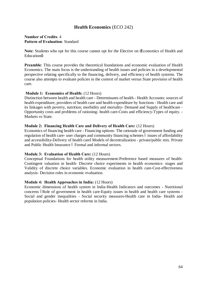## **Health Economics** (ECO 242)

## **Number of Credits**: 4 **Pattern of Evaluation**: Standard

**Note**: Students who opt for this course cannot opt for the Elective on 'Economics of Health and Education<sub>6</sub>

**Preamble**: This course provides the theoretical foundations and economic evaluation of Health Economics. The main focus is the understanding of health issues and policies in a developmental perspective relating specifically to the financing, delivery, and efficiency of health systems. The course also attempts to evaluate policies in the context of market versus State provision of health care.

## **Module 1: Economics of Health:** (12 Hours)

Distinction between health and health care - Determinants of health - Health Accounts: sources of health expenditure; providers of health care and health expenditure by functions - Health care and its linkages with poverty, nutrition; morbidity and mortality- Demand and Supply of healthcare - Opportunity costs and problems of rationing- health care-Costs and efficiency-Types of equity. - Markets vs State.

### **Module 2: Financing Health Care and Delivery of Health Care:** (12 Hours)

Economics of financing health care - Financing options- The rationale of government funding and regulation of health care- user charges and community financing schemes 6 issues of affordability and accessibility-Delivery of health careóModels of decentralization - private/public mix. Private and Public Health Insurance 6 Formal and informal sectors.

#### **Module 3: Evaluation of Health Care:** (12 Hours)

Conceptual Foundations for health utility measurement-Preference based measures of health-Contingent valuation in health- Discrete choice experiments in health economics- stages and Validity of discrete choice variables. Economic evaluation in health care-Cost-effectiveness analysis- Decision rules in economic evaluation.

#### **Module 4: Health Approaches in India:** (12 Hours)

Economic dimensions of health system in India-Health Indicators and outcomes - Nutritional concerns óRole of government in health care-Equity issues in health and health care systems -Social and gender inequalities - Social security measures-Health care in India- Health and population policies- Health sector reforms in India.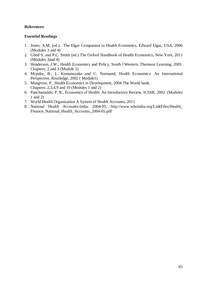- 1. Jones, A.M. (ed.), The Elgar Companion to Health Economics, Edward Elgar, USA, 2006 (Modules 3 and 4)
- 2. Glied S. and P.C. Smith (ed.) The Oxford Handbook of Health Economics, New York, 2011 (Modules 3and 4)
- 3. Henderson, J.W., Health Economics and Policy, South óWestern, Thomson Learning, 2001. Chapters: 2 and 3 (Module 2)
- 4. Mcpake, B., L. Kumanayake and C. Normand, Health Economics: An International Perspective, Routledge, 2002 ( Module1)
- 5. Musgrove, P., Health Economics in Development, 2004 The World bank. Chapters: 2,3,4,9 and 10 (Modules 1 and 2)
- 6. Panchamukhi, P. R., Economics of Health: An Introductory Review, ICSSR, 2002 (Modules 1 and 2)
- 7. World Health Organization A System of Health Accounts, 2011
- 8. National Health Accounts-India: 2004-05, [http://www.whoindia.org/LinkFiles/Health\\_](http://www.whoindia.org/LinkFiles/Health_) Finance\_National\_Health\_Accounts\_2004-05.pdf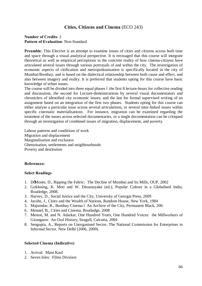## **Cities, Citizens and Cinema** (ECO 243)

## **Number of Credits**: 2 **Pattern of Evaluation**: Non-Standard

**Preamble**: This Elective is an attempt to examine issues of cities and citizens across both time and space through a visual analytical perspective. It is envisaged that this course will integrate theoretical as well as empirical perceptions in the concrete reality of how cinema-citizens have articulated several issues through various portrayals of and within the city. The investigation of economic aspects of citification and metropolitanisation is specifically located in the city of Mumbai/Bombay, and is based on the dialectical relationship between both cause and effect, and also between imagery and reality. It is preferred that students opting for this course have basic knowledge of urban issues.

The course will be divided into three equal phases 6 the first 8 lecture-hours for collective reading and discussions, the second for Lecture-demonstrations by several visual documentators and chroniclers of identified city economic issues, and the last for formal supervised writing of an assignment based on an integration of the first two phases. Students opting for this course can either analyse a particular issue across several articulations, or several inter-linked issues within specific cinematic materialisations. For instance, migration can be examined regarding the treatment of the issues across selected documentaries, or a single documentation can be critiqued through an investigation of combined issues of migration, displacement, and poverty.

Labour patterns and conditions of work Migration and displacement Marginalisation and exclusion Ghettoisation, settlements and neighbourhoods Poverty and destitution

## **References:**

## **Select Readings**

- 1. Do Monte, D., Ripping the Fabric: The Decline of Mumbai and Its Mills, OUP, 2002
- 2. Goklusing, K. Moti and W. Dissanayake (ed.), Popular Culture in a Globalised India, Routledge, 2008.
- 3. Harvey, D., Social Justice and the City, University of Georgia Press, 2009
- 4. Jacobs, J., Cities and the Wealth of Nations, Random House, New York, 1984
- 5. Majumdar, R., Bombay Cinema ó An Archive of the City, Permanent Black, 200.
- 6. Mennel, B., Cities and Cinema, Routledge, 2008
- 7. Menon, M. and N. Adarkar, One Hundred Years, One Hundred Voices: the Millworkers of Girangaon: An Oral History, Seagull, Calcutta, 2004
- 8. Sengupta, A., Reports on Unorganised Sector, The National Commission for Enterprises in Informal Sector, New Delhi (2006, 2009).

## **Selected Cinema (Indicative)**

- 1. Arrival: Mani Kaul
- 2. Seven Isles: Films Division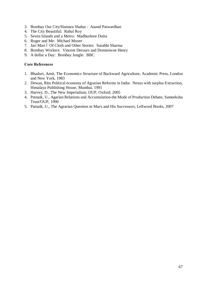- 3. Bombay Our City/Hamara Shahar : Anand Patwardhan
- 4. The City Beautiful: Rahul Roy
- 5. Seven Islands and a Metro: Madhushree Dutta
- 6. Roger and Me: Michael Moore
- 7. Jari Mari ó Of Cloth and Other Stories: Surabhi Sharma
- 8. Bombay Workers: Vincent Derours and Dominiwue Henry
- 9. A dollar a Day: Bombay Jungle: BBC

## **Core References**

- 1. Bhaduri, Amit, The Economics Structure of Backward Agriculture, Academic Press, London and New York, 1983
- 2. Dewan, Ritu Political economy of Agrarian Reforms in India: Nexus with surplus Extraction, Himalaya Publishing House, Mumbai, 1991
- 3. Harvey, D., The New Imperialism, OUP, Oxford, 2005
- 4. Patnaik, U., Agarian Relations and Accumulation-the Mode of Production Debate, Sameeksha Trust/OUP, 1990
- 5. Patnaik, U., The Agrarian Question in Marx and His Successors, Leftword Books, 2007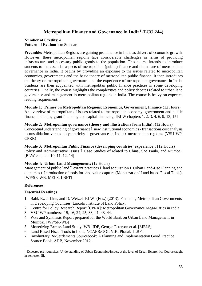## **Metropolitan Finance and Governance in India1** (ECO 244)

## **Number of Credits**: 4 **Pattern of Evaluation**: Standard

**Preamble:** Metropolitan Regions are gaining prominence in India as drivers of economic growth. However, these metropolitan regions face considerable challenges in terms of providing infrastructure and necessary public goods to the population. This course intends to introduce students to the essential aspects of metropolitan (public) finance and the nature of metropolitan governance in India. It begins by providing an exposure to the issues related to metropolitan economies, governments and the basic theory of metropolitan public finance. It then introduces the theory on metropolitan governance and the experience of metropolitan governance in India. Students are then acquainted with metropolitan public finance practices in some developing countries. Finally, the course highlights the complexities and policy debates related to urban land governance and management in metropolitan regions in India. The course is heavy on expected reading requirement.

**Module 1: Primer on Metropolitan Regions: Economics, Government, Finance** (12 Hours) An overview of metropolitan of issues related to metropolitan economy, government and public finance including grant financing and capital financing. [BLW chapters 1, 2, 3, 4, 6, 9, 13, 15]

**Module 2: Metropolitan governance (theory and illustrations from India):** (12 Hours) Conceptual understanding of governance 6 new institutional economics - transactions cost analysis - consolidation versus polycentricity ó governance in India $\alpha$  metropolitan regions. (VSU WP, CPRR)

**Module 3: Metropolitan Public Finance (developing countries' experience):** (12 Hours) Policy and Administrative Issues 6 Case Studies of related to China, Sao Paulo, and Mumbai. [BLW chapters 10, 11, 12, 14]

## **Module 4: Urban Land Management:** (12 Hours)

Management of public land 6 extant practices 6 land acquisition 6 Urban Land-Use Planning and outcomes 6 Introduction of tools for land value capture (Monetization/ Land based Fiscal Tools). [WP/SR-WB, MELS, LBFT]

## **References:**

## **Essential Readings**

- 1. Bahl, R., J. Linn, and D. Wetzel [BLW] (Eds.) (2013). Financing Metropolitan Governments in Developing Countries, Lincoln Institute of Land Policy.
- 2. Centre for Policy Research Report [CPRR]: Metropolitan Governance Mega-Cities in India
- 3. VSU WP numbers: 15, 16, 24, 25, 38, 41, 43, 44.
- 4. WPs and Synthesis Report prepared for the World Bank on Urban Land Management in Mumbai. [WP/SR-WB]
- 5. Monetizing Excess Land Study: WB- IDF, George Peterson et al. [MELS]
- 6. Land Based Fiscal Tools in India, NCAER/GOI: V.K. Phatak [LBFT]
- 7. Involuntary Re-Settlements Sourcebook: A Planning and Implementation Good Practice Source Book, ADB, November 2012,

<sup>&</sup>lt;sup>1</sup> Expected pre-requisites: Understanding of Urban Economics/Issues, at the level of Urban Economics Course taught in semester III.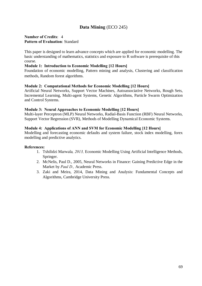## **Data Mining** (ECO 245)

## **Number of Credits**: 4 **Pattern of Evaluation**: Standard

This paper is designed to learn advance concepts which are applied for economic modelling. The basic understanding of mathematics, statistics and exposure to R software is prerequisite of this course.

## **Module 1: Introduction to Economic Modelling [12 Hours]**

Foundation of economic modelling, Pattern mining and analysis, Clustering and classification methods, Random forest algorithms.

## **Module 2: Computational Methods for Economic Modelling [12 Hours]**

Artificial Neural Networks, Support Vector Machines, Autoassociative Networks, Rough Sets, Incremental Learning, Multi-agent Systems, Genetic Algorithms, Particle Swarm Optimization and Control Systems.

## **Module 3: Neural Approaches to Economic Modelling [12 Hours]**

Multi-layer Perceptron (MLP) Neural Networks, Radial-Basis Function (RBF) Neural Networks, Support Vector Regression (SVR), Methods of Modelling Dynamical Economic Systems.

## **Module 4: Applications of ANN and SVM for Economic Modelling [12 Hours]**

Modelling and forecasting economic defaults and system failure, stock index modelling, forex modelling and predictive analytics.

## **References:**

- 1. Tshilidzi Marwala*, 2013,* Economic Modelling Using Artificial Intelligence Methods, Springer.
- 2. McNelis, Paul D., 2005, Neural Networks in Finance: Gaining Predictive Edge in the Market by *Paul D.,* Academic Press.
- 3. Zaki and Meira, 2014, Data Mining and Analysis: Fundamental Concepts and Algorithms, Cambridge University Press.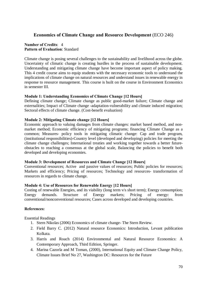## **Economics of Climate Change and Resource Development** (ECO 246)

## **Number of Credits**: 4 **Pattern of Evaluation**: Standard

Climate change is posing several challenges to the sustainability and livelihood across the globe. Uncertainty of climatic change is creating hurdles in the process of sustainable development. Understanding and mitigating climate change have become important aspect of policy making. This 4 credit course aims to equip students with the necessary economic tools to understand the implications of climate change on natural resources and understand issues in renewable energy in response to resource management. This course is built on the course in Environment Economics in semester III.

## **Module 1: Understanding Economics of Climate Change [12 Hours]**

Defining climate change; Climate change as public good-market failure; Climate change and externalities; Impact of Climate change -adaptation-vulnerability and climate induced migration; Sectoral effects of climate change. (Cost-benefit evaluation)

## **Module 2: Mitigating Climate change [12 Hours]**

Economic approach to valuing damages from climate changes: market based method, and nonmarket method; Economic efficiency of mitigating programs; financing Climate Change as a common; Measures- policy tools in mitigating climatic change: Cap and trade program, (institutional responsibilities)-Country level (developed and developing) policies for meeting the climate change challenges; International treaties and working together towards a better futureobstacles to reaching a consensus at the global scale, Balancing the policies to benefit both developed and developing economies.

## **Module 3: Development of Resources and Climate Change [12 Hours]**

Conventional resources; Active and passive values of resources; Public policies for resources; Markets and efficiency; Pricing of resources; Technology and resources- transformation of resources in regards to climate change.

## **Module 4: Use of Resources for Renewable Energy [12 Hours]**

Costing of renewable Energies, and its viability (long term v/s short term); Energy consumption; Energy demands. Structure of Energy markets; Pricing of energy: from conventional/nonconventional resources; Cases across developed and developing countries.

## **References:**

Essential Readings

- 1. Stern Nikolas (2006) Economics of climate change- The Stern Review.
- 2. Field Barry C. (2012) Natural resource Economics: Introduction, Levant publication Kolkata.
- 3. Harris and Roach (2014) Environmental and Natural Resource Economics: A Contemporary Approach, Third Edition, Springer.
- 4. Marina Cazorla and M Toman, (2000), International Equity and Climate Change Policy, Climate Issues Brief No 27, Washington DC: Resources for the Future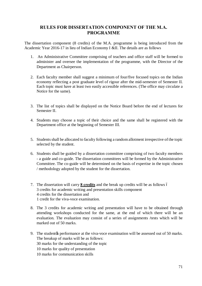## **RULES FOR DISSERTATION COMPONENT OF THE M.A. PROGRAMME**

The dissertation component (8 credits) of the M.A. programme is being introduced from the Academic Year 2016-17 in lieu of Indian Economy I &II. The details are as follows

- 1. An Administrative Committee comprising of teachers and office staff will be formed to administer and oversee the implementation of the programme, with the Director of the Department as Chairperson.
- 2. Each faculty member shall suggest a minimum of four/five focused topics on the Indian economy reflecting a post graduate level of rigour after the mid-semester of Semester II. Each topic must have at least two easily accessible references. (The office may circulate a Notice for the same).
- 3. The list of topics shall be displayed on the Notice Board before the end of lectures for Semester II.
- 4. Students may choose a topic of their choice and the same shall be registered with the Department office at the beginning of Semester III.
- 5. Students shall be allocated to faculty following a random allotment irrespective of the topic selected by the student.
- 6. Students shall be guided by a dissertation committee comprising of two faculty members - a guide and co-guide. The dissertation committees will be formed by the Administrative Committee. The co-guide will be determined on the basis of expertise in the topic chosen / methodology adopted by the student for the dissertation.
- 7. The dissertation will carry **8 credits** and the break up credits will be as follows 3 credits for academic writing and presentation skills component 4 credits for the dissertation and 1 credit for the viva-voce examination.
- 8. The 3 credits for academic writing and presentation will have to be obtained through attending workshops conducted for the same, at the end of which there will be an evaluation. The evaluation may consist of a series of assignments /tests which will be marked out of 50 marks.
- 9. The student the performance at the viva-voce examination will be assessed out of 50 marks. The breakup of marks will be as follows:
	- 30 marks for the understanding of the topic
	- 10 marks for quality of presentation
	- 10 marks for communication skills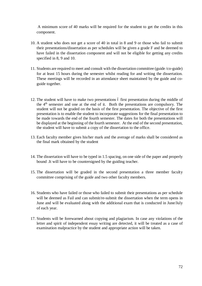A minimum score of 40 marks will be required for the student to get the credits in this component.

- 10. A student who does not get a score of 40 in total in 8 and 9 or those who fail to submit their presentations/dissertation as per schedules will be given a grade F and be deemed to have failed in the dissertation component and will not be eligible for getting any credits specified in 8, 9 and 10.
- 11. Students are required to meet and consult with the dissertation committee (guide /co-guide) for at least 15 hours during the semester whilst reading for and writing the dissertation. These meetings will be recorded in an attendance sheet maintained by the guide and coguide together.
- 12. The student will have to make two presentations 6 first presentation during the middle of the 4th semester and one at the end of it. Both the presentations are compulsory. The student will not be graded on the basis of the first presentation. The objective of the first presentation is to enable the student to incorporate suggestions for the final presentation to be made towards the end of the fourth semester. The dates for both the presentations will be displayed at the beginning of the fourth semester. At the end of the second presentation, the student will have to submit a copy of the dissertation to the office.
- 13. Each faculty member gives his/her mark and the average of marks shall be considered as the final mark obtained by the student
- 14. The dissertation will have to be typed in 1.5 spacing, on one side of the paper and properly bound .It will have to be countersigned by the guiding teacher.
- 15. The dissertation will be graded in the second presentation a three member faculty committee comprising of the guide and two other faculty members.
- 16. Students who have failed or those who failed to submit their presentations as per schedule will be deemed as Fail and can submit/re-submit the dissertation when the term opens in June and will be evaluated along with the additional exam that is conducted in June/July of each year.
- 17. Students will be forewarned about copying and plagiarism. In case any violations of the letter and spirit of independent essay writing are detected, it will be treated as a case of examination malpractice by the student and appropriate action will be taken.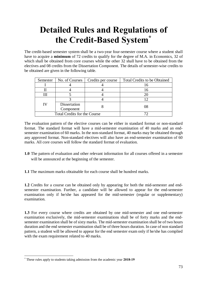# **Detailed Rules and Regulations of the Credit-Based System\***

The credit-based semester system shall be a two-year four-semester course where a student shall have to acquire a **minimum** of 72 credits to qualify for the degree of M.A. in Economics, 32 of which shall be obtained from core courses while the other 32 shall have to be obtained from the electives and 08 credits from the Dissertation Component. The details of semester-wise credits to be obtained are given in the following table.

| Semester | No. of Courses                      | Credits per course | <b>Total Credits to be Obtained</b> |
|----------|-------------------------------------|--------------------|-------------------------------------|
|          |                                     |                    |                                     |
|          |                                     |                    |                                     |
|          |                                     |                    |                                     |
|          |                                     |                    |                                     |
|          | Dissertation                        |                    |                                     |
|          | Component                           |                    |                                     |
|          | <b>Total Credits for the Course</b> |                    |                                     |

The evaluation pattern of the elective courses can be either in standard format or non-standard format. The standard format will have a mid-semester examination of 40 marks and an endsemester examination of 60 marks. In the non-standard format, 40 marks may be obtained through any approved format. Non-standard electives will also have an end-semester examination of 60 marks. All core courses will follow the standard format of evaluation.

- **1.0** The pattern of evaluation and other relevant information for all courses offered in a semester will be announced at the beginning of the semester.
- **1.1** The maximum marks obtainable for each course shall be hundred marks.

**1.2** Credits for a course can be obtained only by appearing for both the mid-semester and endsemester examination. Further, a candidate will be allowed to appear for the end-semester examination only if he/she has appeared for the mid-semester (regular or supplementary) examination.

**1.3** For every course where credits are obtained by one mid-semester and one end-semester examination exclusively, the mid-semester examinations shall be of forty marks and the endsemester examination shall be of sixty marks. The mid-semester examination shall be of two hours duration and the end semester examination shall be of three hours duration. In case of non standard pattern, a student will be allowed to appear for the end semester exam only if he/she has complied with the exam requirement related to 40 marks.

 <sup>\*</sup> These rules apply to students taking admission from the academic year **2018-19**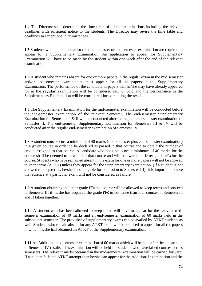**1.4** The Director shall determine the time table of all the examinations including the relevant deadlines with sufficient notice to the students. The Director may revise the time table and deadlines in exceptional circumstances.

**1.5** Students who do not appear for the mid-semester or end-semester examination are required to appear for a Supplementary Examination. An application to appear for Supplementary Examination will have to be made by the student within one week after the end of the relevant examination.

**1.6** A student who remains absent for one or more papers in the regular exam in the mid semester and/or end-semester examination, must appear for all the papers in the Supplementary Examination. The performance of the candidate in papers that he/she may have already appeared for in the **regular** examination will be considered null & void and the performance in the Supplementary Examination will be considered for computing the result.

**1.7** The Supplementary Examination for the mid-semester examination will be conducted before the end-semester examination of the relevant Semester. The end-semester Supplementary Examination for Semesters I & II will be conducted after the regular end-semester examination of Semester II. The end-semester Supplementary Examination for Semesters III & IV will be conducted after the regular end-semester examination of Semester IV.

**1.8** A student must secure a minimum of 40 marks (mid-semester plus end-semester examination) in a given course in order to be declared as passed in that course and to obtain the number of credits assigned to that course. A candidate who does not score a minimum of 40 marks for the course shall be deemed to have failed that course and will be awarded a letter grade  $\delta$ F $\ddot{o}$  for the course. Students who have remained absent in the exam for one or more papers will not be allowed to keep terms (ATKT) unless they appear for the Supplementary examination. (If a student is not allowed to keep terms, he/she is not eligible for admission to Semester III). It is important to note that absence at a particular exam will not be considered as failure.

**1.9** A student obtaining the letter grade  $\delta$ F $\ddot{\text{o}}$  in a course will be allowed to keep terms and proceed to Semester III if he/she has acquired the grade  $\delta$ Fö in not more than four courses in Semesters I and II taken together.

**1.10** A student who has been allowed to keep terms will have to appear for the relevant midsemester examination of 40 marks and an end-semester examination of 60 marks held in the subsequent semester. The provision of supplementary exams can be availed by ATKT students as well. Students who remain absent for any ATKT exam will be required to appear for all the papers in which he/she had obtained an ATKT at the Supplementary examination.

**1.11** An Additional end-semester examination of 60 marks which will be held after the declaration of Semester IV results. This examination will be held for students who have failed courses across semesters. The relevant marks obtained in the mid-semester examination will be carried forward. If a student fails the ATKT attempt then he/she can appear for the Additional examination and the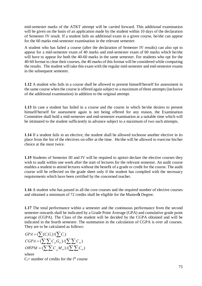mid-semester marks of the ATKT attempt will be carried forward. This additional examination will be given on the basis of an application made by the student within 10 days of the declaration of Semester IV result. If a student fails an additional exam in a given course, he/she can appear for the 60 marks end-semester examination in the relevant semester.

A student who has failed a course (after the declaration of Semester IV results) can also opt to appear for a mid-semester exam of 40 marks and end-semester exam of 60 marks which he/she will have to appear for both the 40-60 marks in the same semester. For students who opt for the 40-60 format to clear their courses, the 40 marks of this format will be considered while computing the results. The student will take this exam with the regular mid-semester and end-semester exams in the subsequent semester.

**1.12** A student who fails in a course shall be allowed to present himself/herself for assessment in the same course when the course is offered again subject to a maximum of three attempts (inclusive of the additional examination) in addition to the original attempt.

**1.13** In case a student has failed in a course and the course in which he/she desires to present himself/herself for assessment again is not being offered for any reason, the Examination Committee shall hold a mid-semester and end-semester examination at a suitable time which will be intimated to the student sufficiently in advance subject to a maximum of two such attempts.

**1.14** If a student fails in an elective, the student shall be allowed tochoose another elective in its place from the list of the electives on offer at the time. He/she will be allowed to exercise his/her choice at the most twice.

**1.15** Students of Semester III and IV will be required to apriori declare the elective courses they wish to audit within one week after the start of lectures for the relevant semester. An audit course enables a student to attend lectures without the benefit of a grade or credit for the course. The audit course will be reflected on the grade sheet only if the student has complied with the necessary requirements which have been certified by the concerned teacher.

**1.16** A student who has passed in all the core courses and the required number of elective courses and obtained a minimum of 72 credits shall be eligible for the Master & Degree.

**1.17** The total performance within a semester and the continuous performance from the second semester onwards shall be indicated by a Grade Point Average (GPA) and cumulative grade point average (CGPA). The Class of the student will be decided by the CGPA obtained and will be indicated in the fourth semester. The summation in the calculation of CGPA is over all courses. They are to be calculated as follows:

$$
GPA = (\sum (C_i G_i) / (\sum C_i)
$$
  
\n
$$
CGPA = (\sum \sum C_{ni} G_{ni}) / (\sum \sum C_{ni})
$$
  
\n
$$
OWPM = (\sum \sum C_{ni} M_{ni}) / (\sum \sum C_{ni})
$$

where  $C_i$ = number of credits for the i<sup>th</sup> course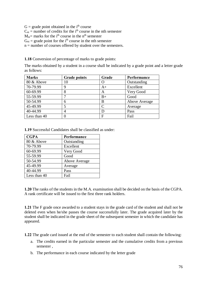$G =$  grade point obtained in the i<sup>th</sup> course

 $C_{ni}$  = number of credits for the i<sup>th</sup> course in the nth semester

 $M_{\text{ni}}$  marks for the i<sup>th</sup> course in the n<sup>th</sup> semester

 $G_{ni}$  = grade point for the i<sup>th</sup> course in the nth semester

 $n =$  number of courses offered by student over the semesters.

**1.18** Conversion of percentage of marks to grade points:

The marks obtained by a student in a course shall be indicated by a grade point and a letter grade as follows:

| <b>Marks</b> | <b>Grade points</b> | Grade       | Performance   |
|--------------|---------------------|-------------|---------------|
| 80 & Above   | 10                  |             | Outstanding   |
| 70-79.99     | 9                   | $A+$        | Excellent     |
| 60-69.99     | 8                   | A           | Very Good     |
| 55-59.99     | 7                   | $_{\rm B+}$ | Good          |
| 50-54.99     | 6                   | B           | Above Average |
| 45-49.99     | 5                   | C           | Average       |
| 40-44.99     | 4                   |             | Pass          |
| Less than 40 |                     |             | Fail          |

**1.19** Successful Candidates shall be classified as under:

| <b>CGPA</b>  | Performance   |
|--------------|---------------|
| 80 & Above   | Outstanding   |
| 70-79.99     | Excellent     |
| 60-69.99     | Very Good     |
| 55-59.99     | Good          |
| 50-54.99     | Above Average |
| 45-49.99     | Average       |
| 40-44.99     | Pass          |
| Less than 40 | Fail          |

**1.20** The ranks of the students in the M.A. examination shall be decided on the basis of the CGPA. A rank certificate will be issued to the first three rank holders.

**1.21** The F grade once awarded to a student stays in the grade card of the student and shall not be deleted even when he/she passes the course successfully later. The grade acquired later by the student shall be indicated in the grade sheet of the subsequent semester in which the candidate has appeared.

**1.22** The grade card issued at the end of the semester to each student shall contain the following:

- a. The credits earned in the particular semester and the cumulative credits from a previous semester ,
- b. The performance in each course indicated by the letter grade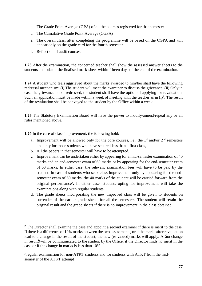- c. The Grade Point Average (GPA) of all the courses registered for that semester
- d. The Cumulative Grade Point Average (CGPA)
- e. The overall class, after completing the programme will be based on the CGPA and will appear only on the grade card for the fourth semester.
- f. Reflection of audit courses.

**1.23** After the examination, the concerned teacher shall show the assessed answer sheets to the students and submit the finalised mark-sheet within fifteen days of the end of the examination.

**1.24** A student who feels aggrieved about the marks awarded to him/her shall have the following redressal mechanism: (i) The student will meet the examiner to discuss the grievance. (ii) Only in case the grievance is not redressed, the student shall have the option of applying for revaluation. Such an application must be made within a week of meeting with the teacher as in  $(i)^2$ . The result of the revaluation shall be conveyed to the student by the Office within a week.

**1.25** The Statutory Examination Board will have the power to modify/amend/repeal any or all rules mentioned above.

**1.26** In the case of class improvement, the following hold:

- **a.** Improvement will be allowed only for the core courses, i.e., the  $1<sup>st</sup>$  and/or  $2<sup>nd</sup>$  semesters and only for those students who have secured less than a first class,
- **b.** All the papers in that semester will have to be attempted,
- **c.** Improvement can be undertaken either by appearing for a mid-semester examination of 40 marks and an end-semester exam of 60 marks or by appearing for the end-semester exam of 60 marks. In either case, the relevant examination fees will have to be paid by the student. In case of students who seek class improvement only by appearing for the endsemester exam of 60 marks, the 40 marks of the student will be carried forward from the original performance<sup>3</sup>. In either case, students opting for improvement will take the examinations along with regular students.
- **d.** The grade sheets incorporating the new improved class will be given to students on surrender of the earlier grade sheets for all the semesters. The student will retain the original result and the grade sheets if there is no improvement in the class obtained.

 $2^2$  The Director shall examine the case and appoint a second examiner if there is merit to the case. If there is a difference of 10% marks between the two assessments, or if the marks after revaluation lead to a change in the result of the student, the new (re-valued) marks will apply. A 'no change in result will be communicated to the student by the Office, if the Director finds no merit in the case or if the change in marks is less than 10%.

<sup>&</sup>lt;sup>3</sup> regular examination for non-ATKT students and for students with ATKT from the midsemester of the ATKT attempt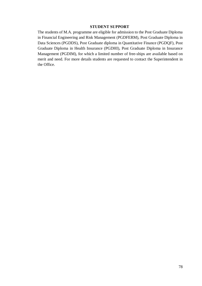## **STUDENT SUPPORT**

The students of M.A. programme are eligible for admission to the Post Graduate Diploma in Financial Engineering and Risk Management (PGDFERM), Post Graduate Diploma in Data Sciences (PGDDS), Post Graduate diploma in Quantitative Finance (PGDQF), Post Graduate Diploma in Health Insurance (PGDHI), Post Graduate Diploma in Insurance Management (PGDIM), for which a limited number of free-ships are available based on merit and need. For more details students are requested to contact the Superintendent in the Office.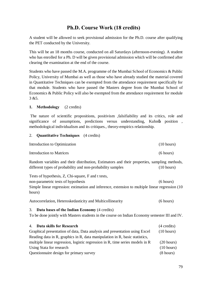## **Ph.D. Course Work (18 credits)**

A student will be allowed to seek provisional admission for the Ph.D. course after qualifying the PET conducted by the University.

This will be an 18 months course, conducted on all Saturdays (afternoon-evening). A student who has enrolled for a Ph. D will be given provisional admission which will be confirmed after clearing the examination at the end of the course.

Students who have passed the M.A. programme of the Mumbai School of Economics & Public Policy, University of Mumbai as well as those who have already studied the material covered in Quantitative Techniques can be exempted from the attendance requirement specifically for that module. Students who have passed the Masters degree from the Mumbai School of Economics & Public Policy will also be exempted from the attendance requirement for module 3 &5.

## **1. Methodology** (2 credits)

The nature of scientific propositions, positivism ,falsifiability and its critics, role and significance of assumptions, predictions versus understanding, Kuhn $\alpha$  position, methodological individualism and its critiques., theory-empirics relationship.

## 2. **Quantitative Techniques** (4 credits)

| Introduction to Optimization | (10 hours) |
|------------------------------|------------|
| Introduction to Matrices     | (6 hours)  |

Random variables and their distribution, Estimators and their properties, sampling methods, different types of probability and non-probability samples (10 hours)

Tests of hypothesis, Z, Chi-square, F and t tests, non-parametric tests of hypothesis (6 hours) Simple linear regression: estimation and inference, extension to multiple linear regression (10 hours)

Autocorrelation, Heteroskedasticity and Multicollinearity (6 hours)

## 3. **Data bases of the Indian Economy** (4 credits)

To be done jointly with Masters students in the course on Indian Economy semester III and IV.

| 4. Data skills for Research                                                   | $(4 \text{ credits})$ |
|-------------------------------------------------------------------------------|-----------------------|
| Graphical presentation of data, Data analysis and presentation using Excel    | (10 hours)            |
| Reading data in R, graphics in R, data manipulation in R, basic statistics,   |                       |
| multiple linear regression, logistic regression in R, time series models in R | $(20 \text{ hours})$  |
| Using Stata for research                                                      | $(10 \text{ hours})$  |
| Questionnaire design for primary survey                                       | $(8 \text{ hours})$   |